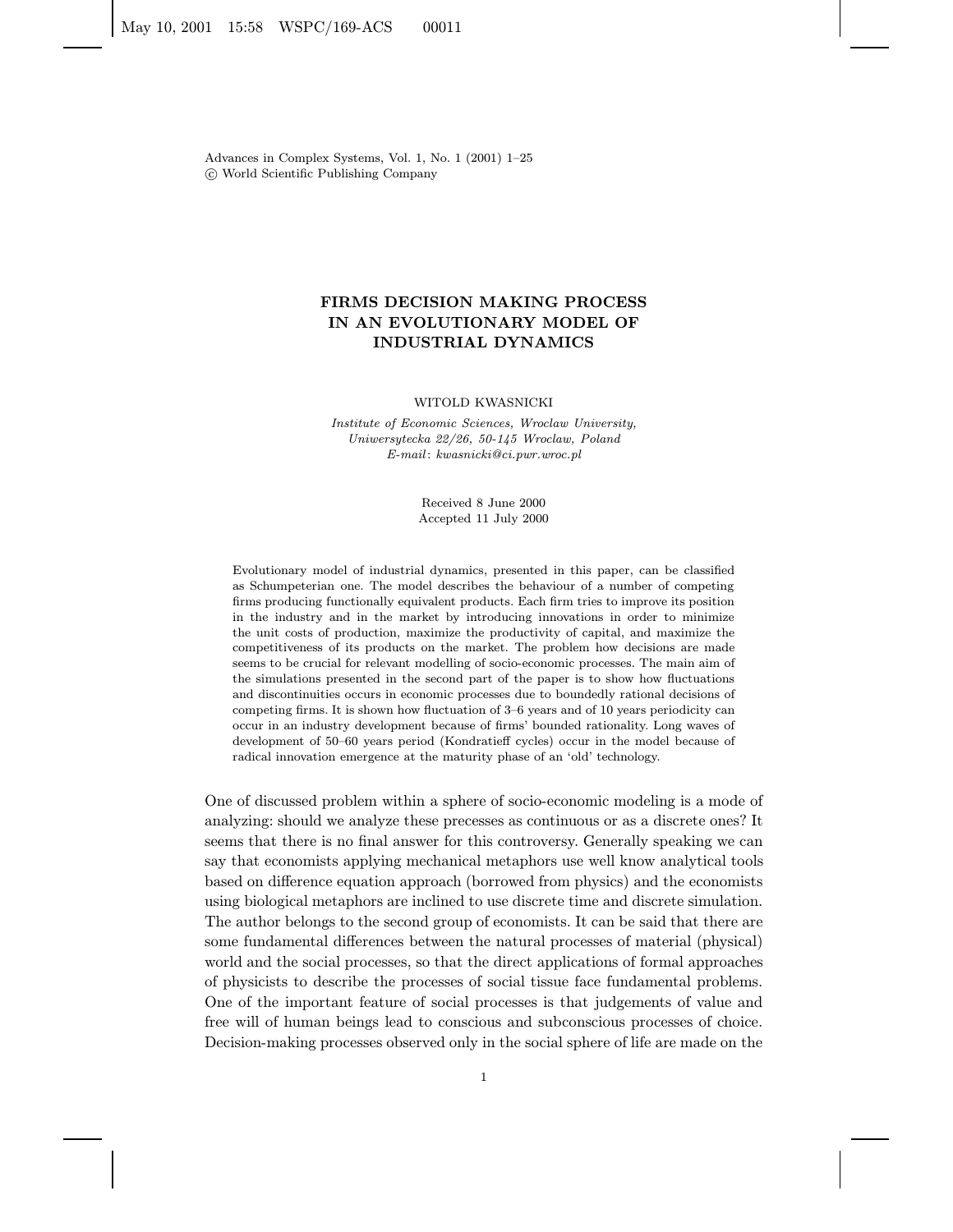Advances in Complex Systems, Vol. 1, No. 1 (2001) 1–25 c World Scientific Publishing Company

# FIRMS DECISION MAKING PROCESS IN AN EVOLUTIONARY MODEL OF INDUSTRIAL DYNAMICS

### WITOLD KWASNICKI

Institute of Economic Sciences, Wroclaw University, Uniwersytecka 22/26, 50-145 Wroclaw, Poland E-mail : kwasnicki@ci.pwr.wroc.pl

> Received 8 June 2000 Accepted 11 July 2000

Evolutionary model of industrial dynamics, presented in this paper, can be classified as Schumpeterian one. The model describes the behaviour of a number of competing firms producing functionally equivalent products. Each firm tries to improve its position in the industry and in the market by introducing innovations in order to minimize the unit costs of production, maximize the productivity of capital, and maximize the competitiveness of its products on the market. The problem how decisions are made seems to be crucial for relevant modelling of socio-economic processes. The main aim of the simulations presented in the second part of the paper is to show how fluctuations and discontinuities occurs in economic processes due to boundedly rational decisions of competing firms. It is shown how fluctuation of 3–6 years and of 10 years periodicity can occur in an industry development because of firms' bounded rationality. Long waves of development of 50–60 years period (Kondratieff cycles) occur in the model because of radical innovation emergence at the maturity phase of an 'old' technology.

One of discussed problem within a sphere of socio-economic modeling is a mode of analyzing: should we analyze these precesses as continuous or as a discrete ones? It seems that there is no final answer for this controversy. Generally speaking we can say that economists applying mechanical metaphors use well know analytical tools based on difference equation approach (borrowed from physics) and the economists using biological metaphors are inclined to use discrete time and discrete simulation. The author belongs to the second group of economists. It can be said that there are some fundamental differences between the natural processes of material (physical) world and the social processes, so that the direct applications of formal approaches of physicists to describe the processes of social tissue face fundamental problems. One of the important feature of social processes is that judgements of value and free will of human beings lead to conscious and subconscious processes of choice. Decision-making processes observed only in the social sphere of life are made on the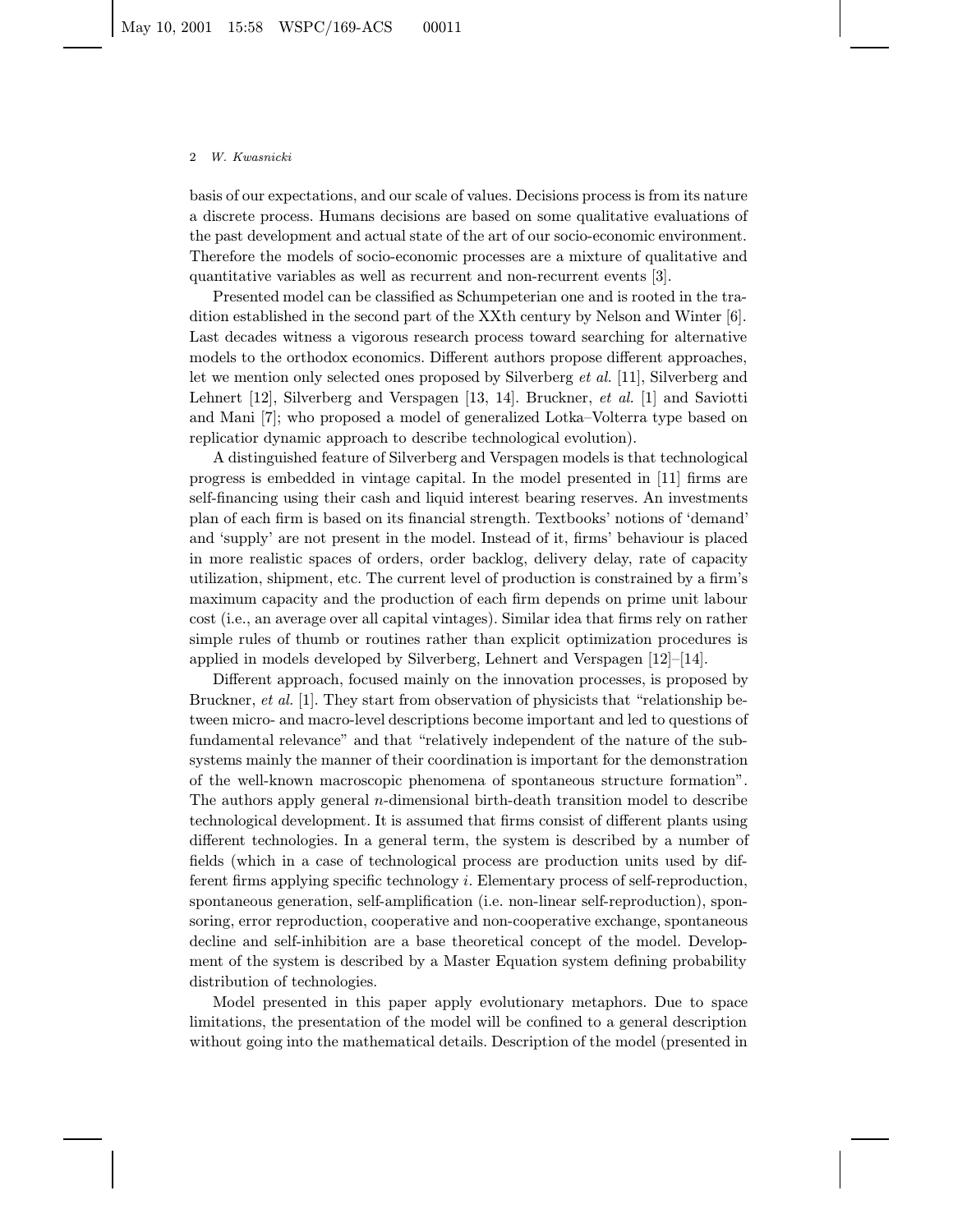basis of our expectations, and our scale of values. Decisions process is from its nature a discrete process. Humans decisions are based on some qualitative evaluations of the past development and actual state of the art of our socio-economic environment. Therefore the models of socio-economic processes are a mixture of qualitative and quantitative variables as well as recurrent and non-recurrent events [3].

Presented model can be classified as Schumpeterian one and is rooted in the tradition established in the second part of the XXth century by Nelson and Winter [6]. Last decades witness a vigorous research process toward searching for alternative models to the orthodox economics. Different authors propose different approaches, let we mention only selected ones proposed by Silverberg et al. [11], Silverberg and Lehnert [12], Silverberg and Verspagen [13, 14]. Bruckner, *et al.* [1] and Saviotti and Mani [7]; who proposed a model of generalized Lotka–Volterra type based on replicatior dynamic approach to describe technological evolution).

A distinguished feature of Silverberg and Verspagen models is that technological progress is embedded in vintage capital. In the model presented in [11] firms are self-financing using their cash and liquid interest bearing reserves. An investments plan of each firm is based on its financial strength. Textbooks' notions of 'demand' and 'supply' are not present in the model. Instead of it, firms' behaviour is placed in more realistic spaces of orders, order backlog, delivery delay, rate of capacity utilization, shipment, etc. The current level of production is constrained by a firm's maximum capacity and the production of each firm depends on prime unit labour cost (i.e., an average over all capital vintages). Similar idea that firms rely on rather simple rules of thumb or routines rather than explicit optimization procedures is applied in models developed by Silverberg, Lehnert and Verspagen [12]–[14].

Different approach, focused mainly on the innovation processes, is proposed by Bruckner, *et al.* [1]. They start from observation of physicists that "relationship between micro- and macro-level descriptions become important and led to questions of fundamental relevance" and that "relatively independent of the nature of the subsystems mainly the manner of their coordination is important for the demonstration of the well-known macroscopic phenomena of spontaneous structure formation". The authors apply general *n*-dimensional birth-death transition model to describe technological development. It is assumed that firms consist of different plants using different technologies. In a general term, the system is described by a number of fields (which in a case of technological process are production units used by different firms applying specific technology i. Elementary process of self-reproduction, spontaneous generation, self-amplification (i.e. non-linear self-reproduction), sponsoring, error reproduction, cooperative and non-cooperative exchange, spontaneous decline and self-inhibition are a base theoretical concept of the model. Development of the system is described by a Master Equation system defining probability distribution of technologies.

Model presented in this paper apply evolutionary metaphors. Due to space limitations, the presentation of the model will be confined to a general description without going into the mathematical details. Description of the model (presented in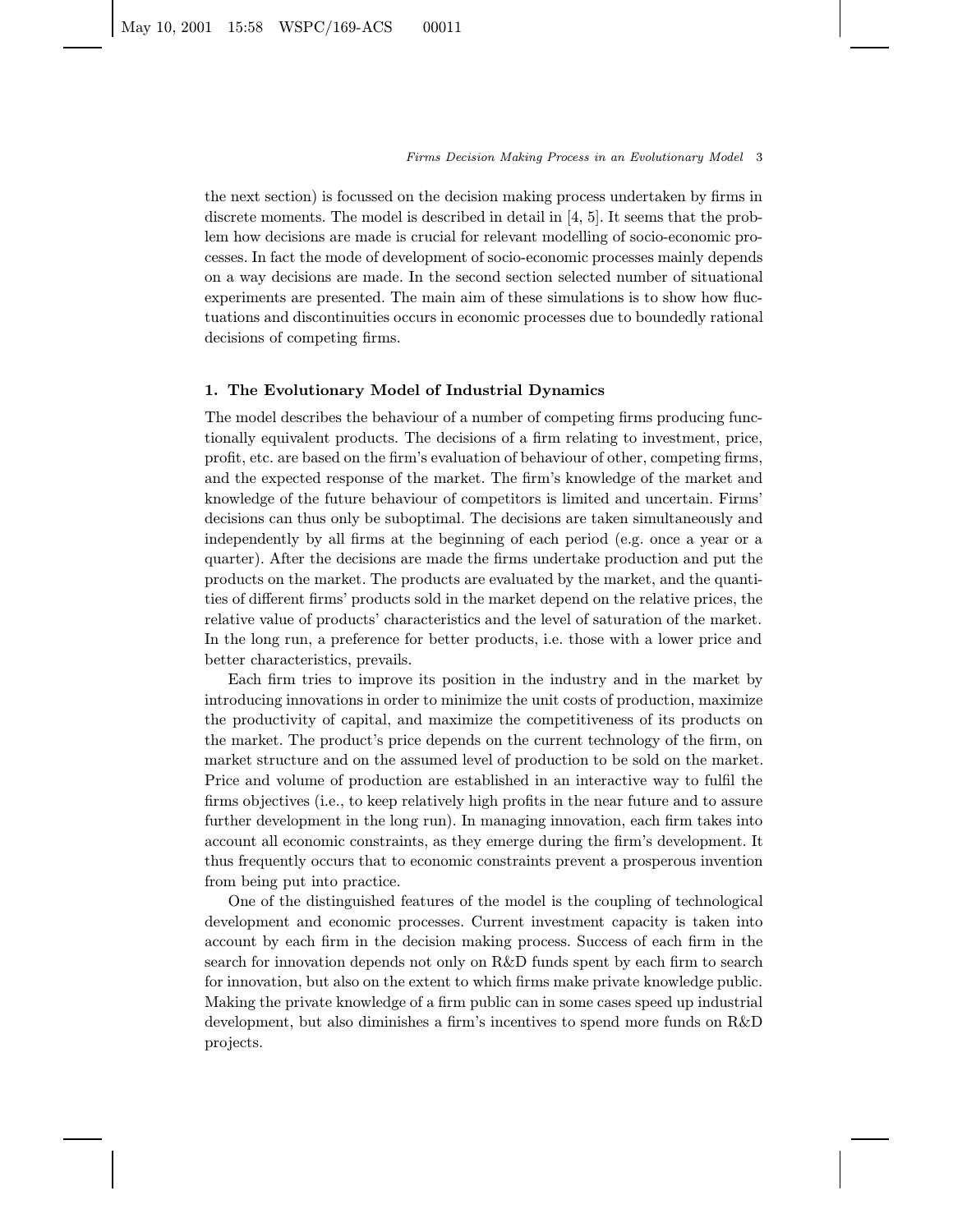the next section) is focussed on the decision making process undertaken by firms in discrete moments. The model is described in detail in [4, 5]. It seems that the problem how decisions are made is crucial for relevant modelling of socio-economic processes. In fact the mode of development of socio-economic processes mainly depends on a way decisions are made. In the second section selected number of situational experiments are presented. The main aim of these simulations is to show how fluctuations and discontinuities occurs in economic processes due to boundedly rational decisions of competing firms.

## 1. The Evolutionary Model of Industrial Dynamics

The model describes the behaviour of a number of competing firms producing functionally equivalent products. The decisions of a firm relating to investment, price, profit, etc. are based on the firm's evaluation of behaviour of other, competing firms, and the expected response of the market. The firm's knowledge of the market and knowledge of the future behaviour of competitors is limited and uncertain. Firms' decisions can thus only be suboptimal. The decisions are taken simultaneously and independently by all firms at the beginning of each period (e.g. once a year or a quarter). After the decisions are made the firms undertake production and put the products on the market. The products are evaluated by the market, and the quantities of different firms' products sold in the market depend on the relative prices, the relative value of products' characteristics and the level of saturation of the market. In the long run, a preference for better products, i.e. those with a lower price and better characteristics, prevails.

Each firm tries to improve its position in the industry and in the market by introducing innovations in order to minimize the unit costs of production, maximize the productivity of capital, and maximize the competitiveness of its products on the market. The product's price depends on the current technology of the firm, on market structure and on the assumed level of production to be sold on the market. Price and volume of production are established in an interactive way to fulfil the firms objectives (i.e., to keep relatively high profits in the near future and to assure further development in the long run). In managing innovation, each firm takes into account all economic constraints, as they emerge during the firm's development. It thus frequently occurs that to economic constraints prevent a prosperous invention from being put into practice.

One of the distinguished features of the model is the coupling of technological development and economic processes. Current investment capacity is taken into account by each firm in the decision making process. Success of each firm in the search for innovation depends not only on R&D funds spent by each firm to search for innovation, but also on the extent to which firms make private knowledge public. Making the private knowledge of a firm public can in some cases speed up industrial development, but also diminishes a firm's incentives to spend more funds on R&D projects.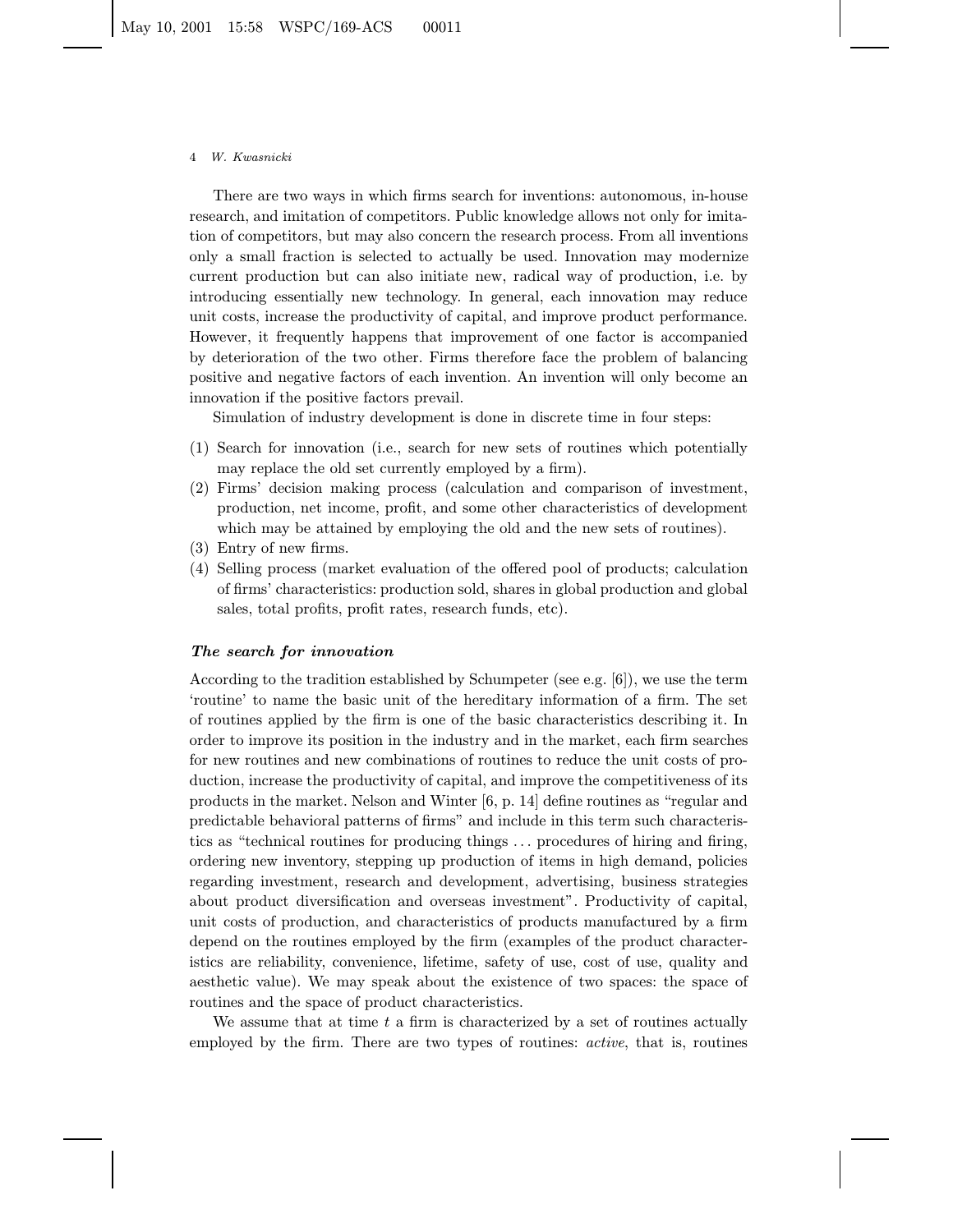There are two ways in which firms search for inventions: autonomous, in-house research, and imitation of competitors. Public knowledge allows not only for imitation of competitors, but may also concern the research process. From all inventions only a small fraction is selected to actually be used. Innovation may modernize current production but can also initiate new, radical way of production, i.e. by introducing essentially new technology. In general, each innovation may reduce unit costs, increase the productivity of capital, and improve product performance. However, it frequently happens that improvement of one factor is accompanied by deterioration of the two other. Firms therefore face the problem of balancing positive and negative factors of each invention. An invention will only become an innovation if the positive factors prevail.

Simulation of industry development is done in discrete time in four steps:

- (1) Search for innovation (i.e., search for new sets of routines which potentially may replace the old set currently employed by a firm).
- (2) Firms' decision making process (calculation and comparison of investment, production, net income, profit, and some other characteristics of development which may be attained by employing the old and the new sets of routines).
- (3) Entry of new firms.
- (4) Selling process (market evaluation of the offered pool of products; calculation of firms' characteristics: production sold, shares in global production and global sales, total profits, profit rates, research funds, etc).

## The search for innovation

According to the tradition established by Schumpeter (see e.g. [6]), we use the term 'routine' to name the basic unit of the hereditary information of a firm. The set of routines applied by the firm is one of the basic characteristics describing it. In order to improve its position in the industry and in the market, each firm searches for new routines and new combinations of routines to reduce the unit costs of production, increase the productivity of capital, and improve the competitiveness of its products in the market. Nelson and Winter [6, p. 14] define routines as "regular and predictable behavioral patterns of firms" and include in this term such characteristics as "technical routines for producing things ... procedures of hiring and firing, ordering new inventory, stepping up production of items in high demand, policies regarding investment, research and development, advertising, business strategies about product diversification and overseas investment". Productivity of capital, unit costs of production, and characteristics of products manufactured by a firm depend on the routines employed by the firm (examples of the product characteristics are reliability, convenience, lifetime, safety of use, cost of use, quality and aesthetic value). We may speak about the existence of two spaces: the space of routines and the space of product characteristics.

We assume that at time  $t$  a firm is characterized by a set of routines actually employed by the firm. There are two types of routines: active, that is, routines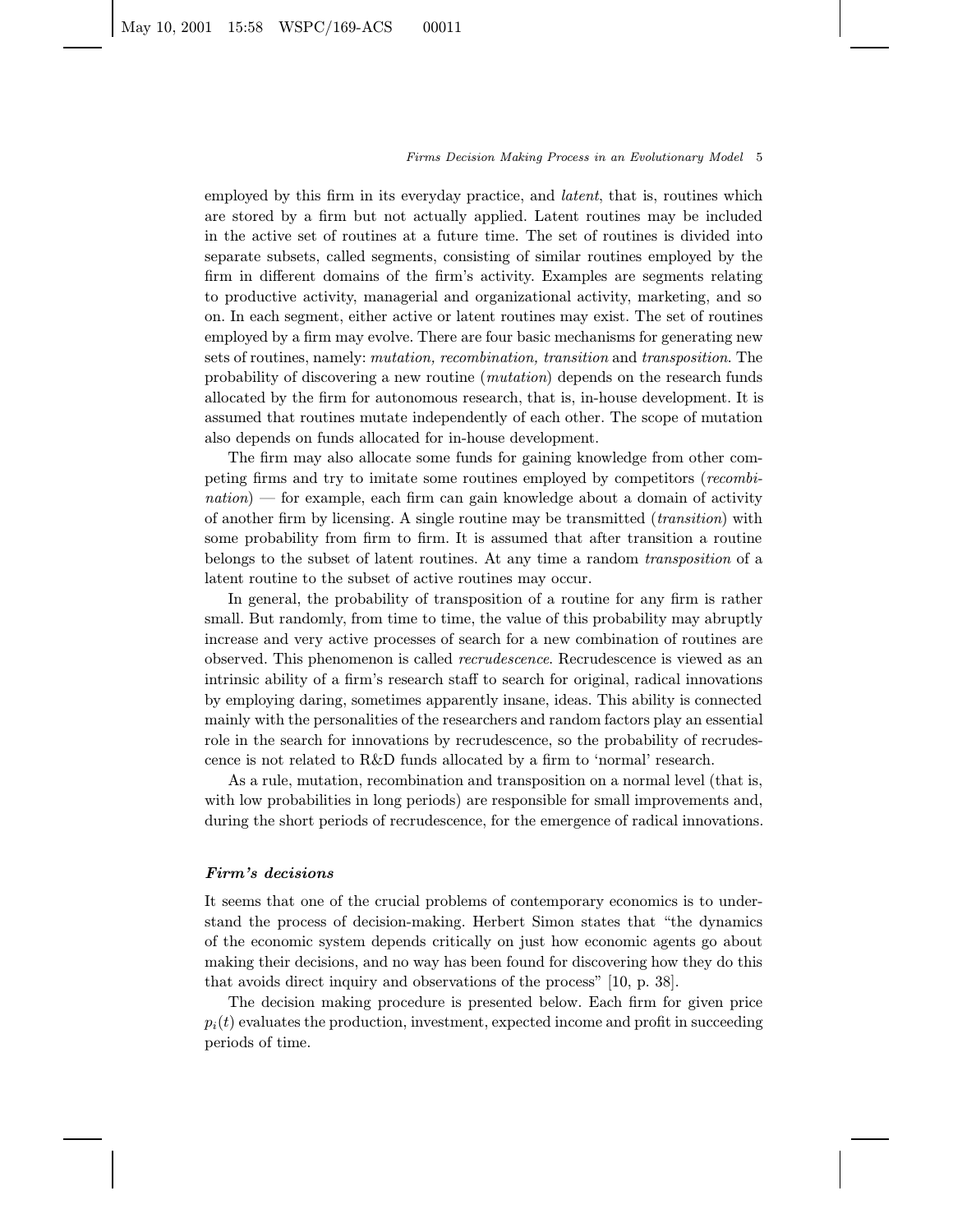employed by this firm in its everyday practice, and *latent*, that is, routines which are stored by a firm but not actually applied. Latent routines may be included in the active set of routines at a future time. The set of routines is divided into separate subsets, called segments, consisting of similar routines employed by the firm in different domains of the firm's activity. Examples are segments relating to productive activity, managerial and organizational activity, marketing, and so on. In each segment, either active or latent routines may exist. The set of routines employed by a firm may evolve. There are four basic mechanisms for generating new sets of routines, namely: mutation, recombination, transition and transposition. The probability of discovering a new routine (mutation) depends on the research funds allocated by the firm for autonomous research, that is, in-house development. It is assumed that routines mutate independently of each other. The scope of mutation also depends on funds allocated for in-house development.

The firm may also allocate some funds for gaining knowledge from other competing firms and try to imitate some routines employed by competitors (recombi $nation$ ) — for example, each firm can gain knowledge about a domain of activity of another firm by licensing. A single routine may be transmitted (transition) with some probability from firm to firm. It is assumed that after transition a routine belongs to the subset of latent routines. At any time a random transposition of a latent routine to the subset of active routines may occur.

In general, the probability of transposition of a routine for any firm is rather small. But randomly, from time to time, the value of this probability may abruptly increase and very active processes of search for a new combination of routines are observed. This phenomenon is called recrudescence. Recrudescence is viewed as an intrinsic ability of a firm's research staff to search for original, radical innovations by employing daring, sometimes apparently insane, ideas. This ability is connected mainly with the personalities of the researchers and random factors play an essential role in the search for innovations by recrudescence, so the probability of recrudescence is not related to R&D funds allocated by a firm to 'normal' research.

As a rule, mutation, recombination and transposition on a normal level (that is, with low probabilities in long periods) are responsible for small improvements and, during the short periods of recrudescence, for the emergence of radical innovations.

### Firm's decisions

It seems that one of the crucial problems of contemporary economics is to understand the process of decision-making. Herbert Simon states that "the dynamics of the economic system depends critically on just how economic agents go about making their decisions, and no way has been found for discovering how they do this that avoids direct inquiry and observations of the process" [10, p. 38].

The decision making procedure is presented below. Each firm for given price  $p_i(t)$  evaluates the production, investment, expected income and profit in succeeding periods of time.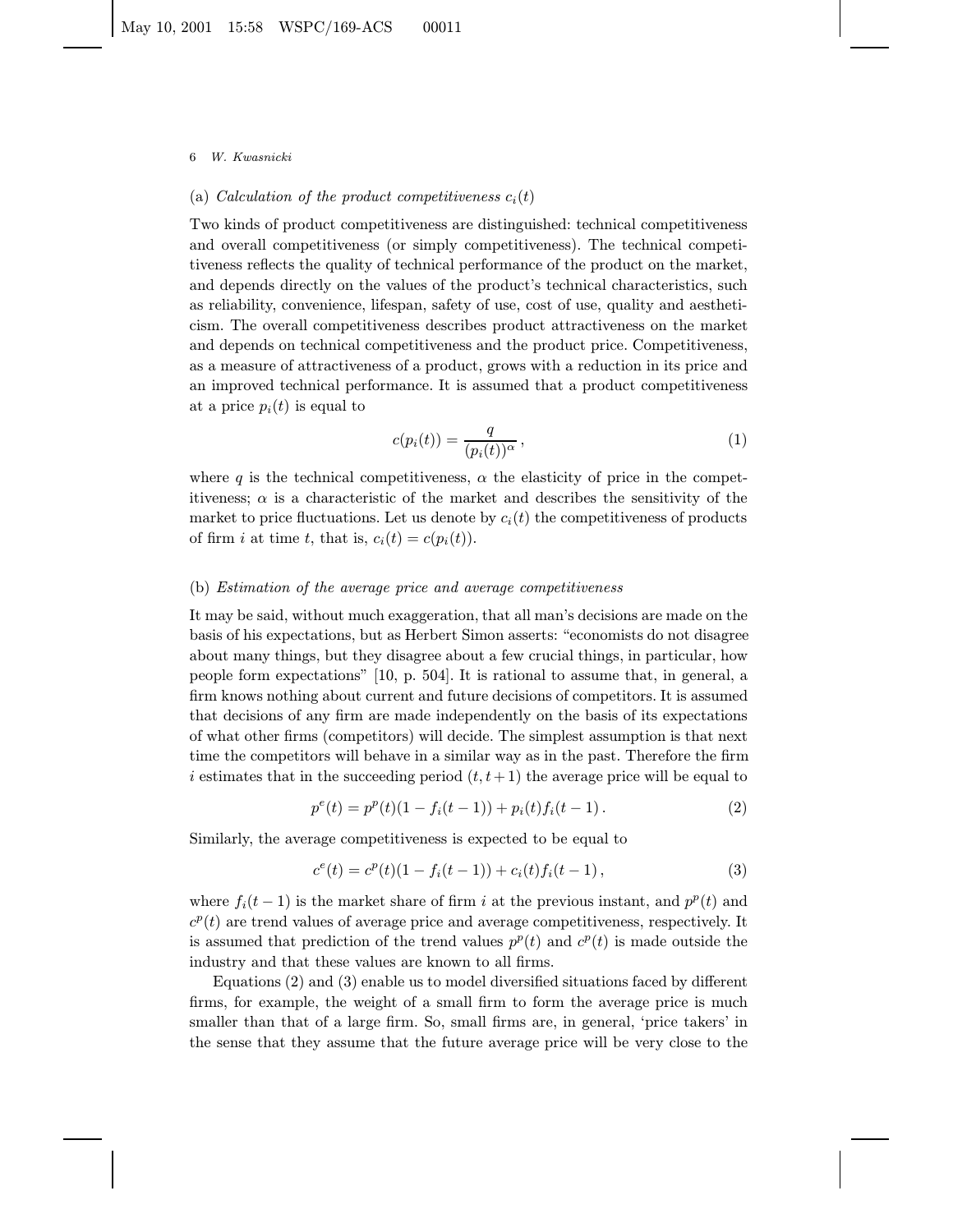## (a) Calculation of the product competitiveness  $c_i(t)$

Two kinds of product competitiveness are distinguished: technical competitiveness and overall competitiveness (or simply competitiveness). The technical competitiveness reflects the quality of technical performance of the product on the market, and depends directly on the values of the product's technical characteristics, such as reliability, convenience, lifespan, safety of use, cost of use, quality and aestheticism. The overall competitiveness describes product attractiveness on the market and depends on technical competitiveness and the product price. Competitiveness, as a measure of attractiveness of a product, grows with a reduction in its price and an improved technical performance. It is assumed that a product competitiveness at a price  $p_i(t)$  is equal to

$$
c(p_i(t)) = \frac{q}{(p_i(t))^\alpha},\tag{1}
$$

where q is the technical competitiveness,  $\alpha$  the elasticity of price in the competitiveness;  $\alpha$  is a characteristic of the market and describes the sensitivity of the market to price fluctuations. Let us denote by  $c_i(t)$  the competitiveness of products of firm i at time t, that is,  $c_i(t) = c(p_i(t))$ .

## (b) Estimation of the average price and average competitiveness

It may be said, without much exaggeration, that all man's decisions are made on the basis of his expectations, but as Herbert Simon asserts: "economists do not disagree about many things, but they disagree about a few crucial things, in particular, how people form expectations" [10, p. 504]. It is rational to assume that, in general, a firm knows nothing about current and future decisions of competitors. It is assumed that decisions of any firm are made independently on the basis of its expectations of what other firms (competitors) will decide. The simplest assumption is that next time the competitors will behave in a similar way as in the past. Therefore the firm i estimates that in the succeeding period  $(t, t+1)$  the average price will be equal to

$$
p^{e}(t) = p^{p}(t)(1 - f_{i}(t-1)) + p_{i}(t)f_{i}(t-1).
$$
\n(2)

Similarly, the average competitiveness is expected to be equal to

$$
c^{e}(t) = c^{p}(t)(1 - f_{i}(t-1)) + c_{i}(t)f_{i}(t-1),
$$
\n(3)

where  $f_i(t-1)$  is the market share of firm i at the previous instant, and  $p^p(t)$  and  $c^p(t)$  are trend values of average price and average competitiveness, respectively. It is assumed that prediction of the trend values  $p^p(t)$  and  $c^p(t)$  is made outside the industry and that these values are known to all firms.

Equations (2) and (3) enable us to model diversified situations faced by different firms, for example, the weight of a small firm to form the average price is much smaller than that of a large firm. So, small firms are, in general, 'price takers' in the sense that they assume that the future average price will be very close to the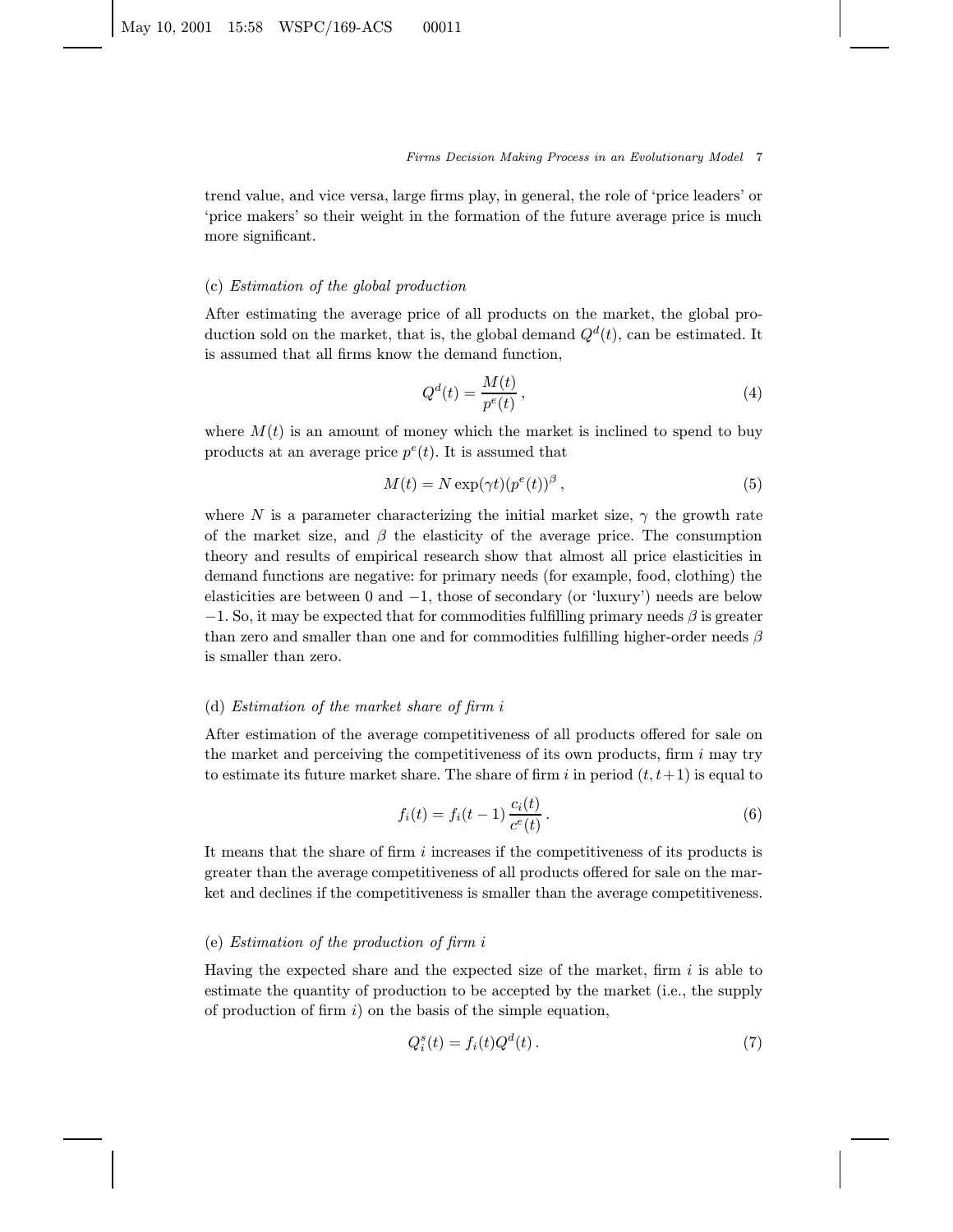trend value, and vice versa, large firms play, in general, the role of 'price leaders' or 'price makers' so their weight in the formation of the future average price is much more significant.

## (c) Estimation of the global production

After estimating the average price of all products on the market, the global production sold on the market, that is, the global demand  $Q<sup>d</sup>(t)$ , can be estimated. It is assumed that all firms know the demand function,

$$
Q^d(t) = \frac{M(t)}{p^e(t)},
$$
\n(4)

where  $M(t)$  is an amount of money which the market is inclined to spend to buy products at an average price  $p^{e}(t)$ . It is assumed that

$$
M(t) = N \exp(\gamma t) (p^e(t))^{\beta}, \qquad (5)
$$

where N is a parameter characterizing the initial market size,  $\gamma$  the growth rate of the market size, and  $\beta$  the elasticity of the average price. The consumption theory and results of empirical research show that almost all price elasticities in demand functions are negative: for primary needs (for example, food, clothing) the elasticities are between 0 and −1, those of secondary (or 'luxury') needs are below  $-1$ . So, it may be expected that for commodities fulfilling primary needs  $\beta$  is greater than zero and smaller than one and for commodities fulfilling higher-order needs  $\beta$ is smaller than zero.

## (d) Estimation of the market share of firm i

After estimation of the average competitiveness of all products offered for sale on the market and perceiving the competitiveness of its own products, firm  $i$  may try to estimate its future market share. The share of firm i in period  $(t, t+1)$  is equal to

$$
f_i(t) = f_i(t-1) \frac{c_i(t)}{c^e(t)}.
$$
\n(6)

It means that the share of firm i increases if the competitiveness of its products is greater than the average competitiveness of all products offered for sale on the market and declines if the competitiveness is smaller than the average competitiveness.

## (e) Estimation of the production of firm i

Having the expected share and the expected size of the market, firm  $i$  is able to estimate the quantity of production to be accepted by the market (i.e., the supply of production of firm  $i$ ) on the basis of the simple equation,

$$
Q_i^s(t) = f_i(t)Q^d(t).
$$
\n(7)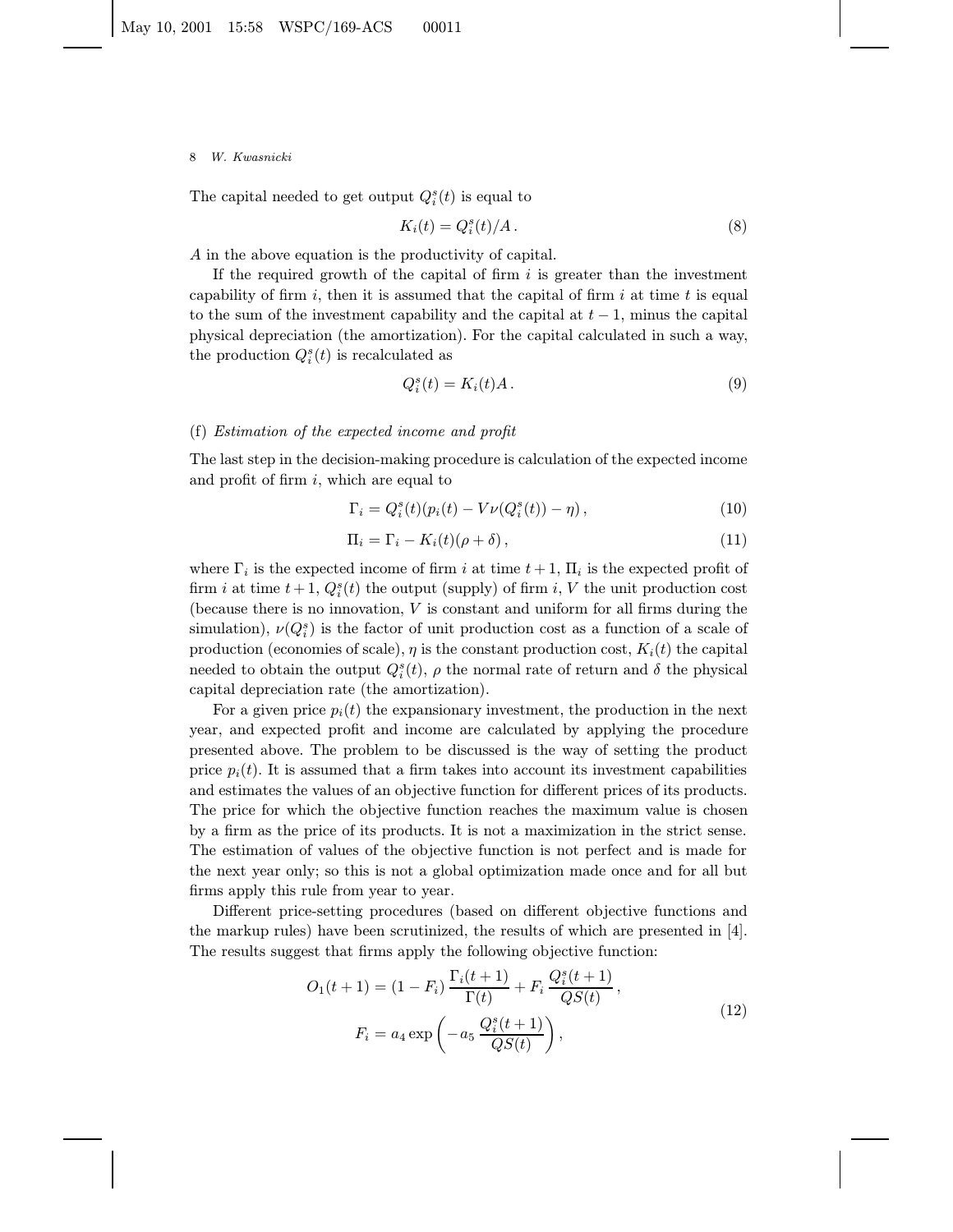The capital needed to get output  $Q_i^s(t)$  is equal to

$$
K_i(t) = Q_i^s(t)/A.
$$
\n<sup>(8)</sup>

A in the above equation is the productivity of capital.

If the required growth of the capital of firm  $i$  is greater than the investment capability of firm i, then it is assumed that the capital of firm i at time t is equal to the sum of the investment capability and the capital at  $t-1$ , minus the capital physical depreciation (the amortization). For the capital calculated in such a way, the production  $Q_i^s(t)$  is recalculated as

$$
Q_i^s(t) = K_i(t)A.
$$
\n(9)

## (f) Estimation of the expected income and profit

The last step in the decision-making procedure is calculation of the expected income and profit of firm  $i$ , which are equal to

$$
\Gamma_i = Q_i^s(t)(p_i(t) - V\nu(Q_i^s(t)) - \eta), \qquad (10)
$$

$$
\Pi_i = \Gamma_i - K_i(t)(\rho + \delta), \qquad (11)
$$

where  $\Gamma_i$  is the expected income of firm i at time  $t+1$ ,  $\Pi_i$  is the expected profit of firm *i* at time  $t + 1$ ,  $Q_i^s(t)$  the output (supply) of firm *i*, *V* the unit production cost (because there is no innovation,  $V$  is constant and uniform for all firms during the simulation),  $\nu(Q_i^s)$  is the factor of unit production cost as a function of a scale of production (economies of scale),  $\eta$  is the constant production cost,  $K_i(t)$  the capital needed to obtain the output  $Q_i^s(t)$ ,  $\rho$  the normal rate of return and  $\delta$  the physical capital depreciation rate (the amortization).

For a given price  $p_i(t)$  the expansionary investment, the production in the next year, and expected profit and income are calculated by applying the procedure presented above. The problem to be discussed is the way of setting the product price  $p_i(t)$ . It is assumed that a firm takes into account its investment capabilities and estimates the values of an objective function for different prices of its products. The price for which the objective function reaches the maximum value is chosen by a firm as the price of its products. It is not a maximization in the strict sense. The estimation of values of the objective function is not perfect and is made for the next year only; so this is not a global optimization made once and for all but firms apply this rule from year to year.

Different price-setting procedures (based on different objective functions and the markup rules) have been scrutinized, the results of which are presented in [4]. The results suggest that firms apply the following objective function:

$$
O_1(t+1) = (1 - F_i) \frac{\Gamma_i(t+1)}{\Gamma(t)} + F_i \frac{Q_i^s(t+1)}{QS(t)},
$$
  

$$
F_i = a_4 \exp\left(-a_5 \frac{Q_i^s(t+1)}{QS(t)}\right),
$$
 (12)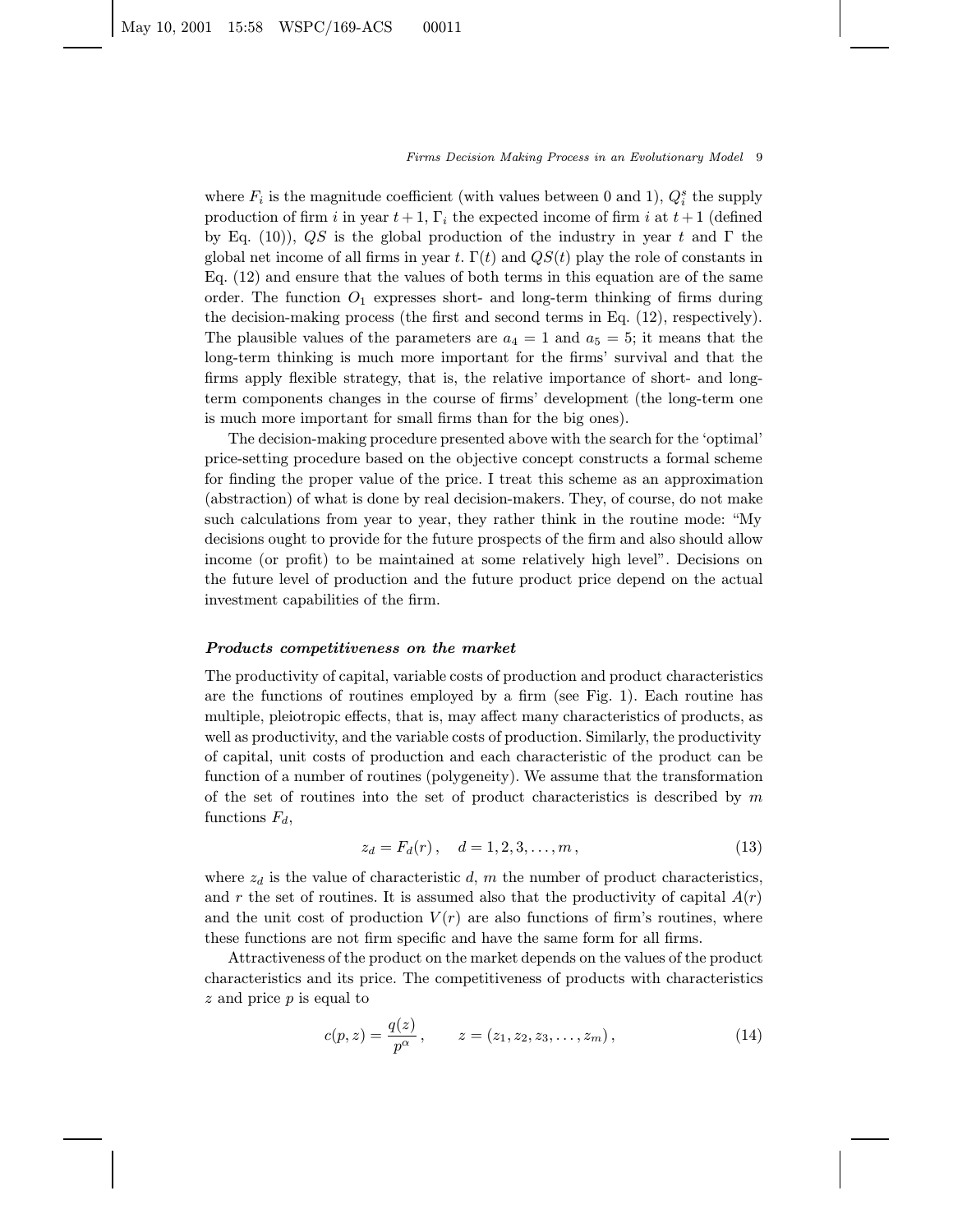where  $F_i$  is the magnitude coefficient (with values between 0 and 1),  $Q_i^s$  the supply production of firm i in year  $t+1$ ,  $\Gamma_i$  the expected income of firm i at  $t+1$  (defined by Eq. (10)), QS is the global production of the industry in year t and  $\Gamma$  the global net income of all firms in year t.  $\Gamma(t)$  and  $QS(t)$  play the role of constants in Eq. (12) and ensure that the values of both terms in this equation are of the same order. The function  $O_1$  expresses short- and long-term thinking of firms during the decision-making process (the first and second terms in Eq. (12), respectively). The plausible values of the parameters are  $a_4 = 1$  and  $a_5 = 5$ ; it means that the long-term thinking is much more important for the firms' survival and that the firms apply flexible strategy, that is, the relative importance of short- and longterm components changes in the course of firms' development (the long-term one is much more important for small firms than for the big ones).

The decision-making procedure presented above with the search for the 'optimal' price-setting procedure based on the objective concept constructs a formal scheme for finding the proper value of the price. I treat this scheme as an approximation (abstraction) of what is done by real decision-makers. They, of course, do not make such calculations from year to year, they rather think in the routine mode: "My decisions ought to provide for the future prospects of the firm and also should allow income (or profit) to be maintained at some relatively high level". Decisions on the future level of production and the future product price depend on the actual investment capabilities of the firm.

## Products competitiveness on the market

The productivity of capital, variable costs of production and product characteristics are the functions of routines employed by a firm (see Fig. 1). Each routine has multiple, pleiotropic effects, that is, may affect many characteristics of products, as well as productivity, and the variable costs of production. Similarly, the productivity of capital, unit costs of production and each characteristic of the product can be function of a number of routines (polygeneity). We assume that the transformation of the set of routines into the set of product characteristics is described by  $m$ functions  $F_d$ ,

$$
z_d = F_d(r), \quad d = 1, 2, 3, \dots, m,
$$
\n(13)

where  $z_d$  is the value of characteristic d, m the number of product characteristics, and r the set of routines. It is assumed also that the productivity of capital  $A(r)$ and the unit cost of production  $V(r)$  are also functions of firm's routines, where these functions are not firm specific and have the same form for all firms.

Attractiveness of the product on the market depends on the values of the product characteristics and its price. The competitiveness of products with characteristics  $z$  and price  $p$  is equal to

$$
c(p, z) = \frac{q(z)}{p^{\alpha}}, \qquad z = (z_1, z_2, z_3, \dots, z_m), \qquad (14)
$$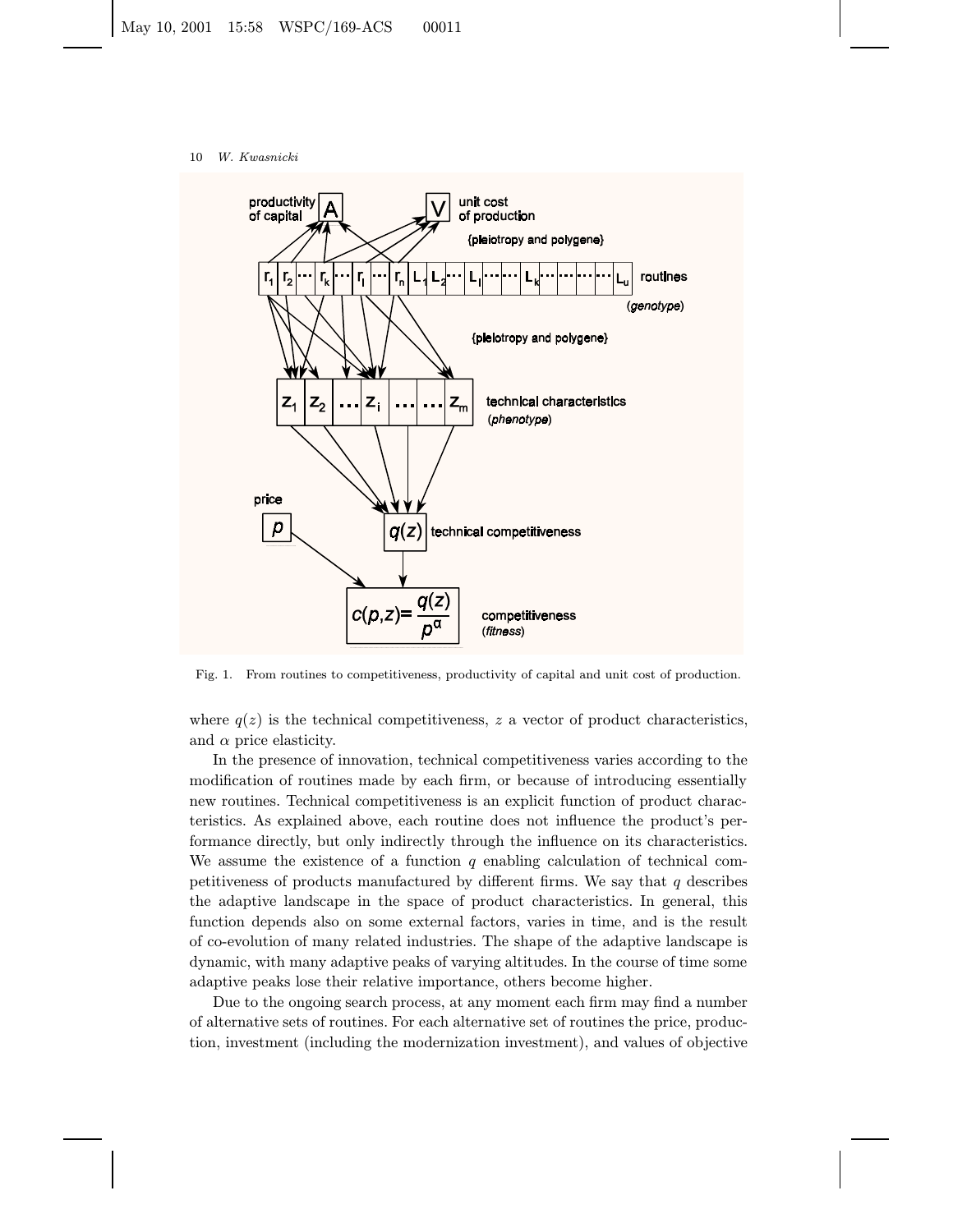



Fig. 1. From routines to competitiveness, productivity of capital and unit cost of production.

where  $q(z)$  is the technical competitiveness, z a vector of product characteristics, and  $\alpha$  price elasticity.

In the presence of innovation, technical competitiveness varies according to the modification of routines made by each firm, or because of introducing essentially new routines. Technical competitiveness is an explicit function of product characteristics. As explained above, each routine does not influence the product's performance directly, but only indirectly through the influence on its characteristics. We assume the existence of a function  $q$  enabling calculation of technical competitiveness of products manufactured by different firms. We say that  $q$  describes the adaptive landscape in the space of product characteristics. In general, this function depends also on some external factors, varies in time, and is the result of co-evolution of many related industries. The shape of the adaptive landscape is dynamic, with many adaptive peaks of varying altitudes. In the course of time some adaptive peaks lose their relative importance, others become higher.

Due to the ongoing search process, at any moment each firm may find a number of alternative sets of routines. For each alternative set of routines the price, production, investment (including the modernization investment), and values of objective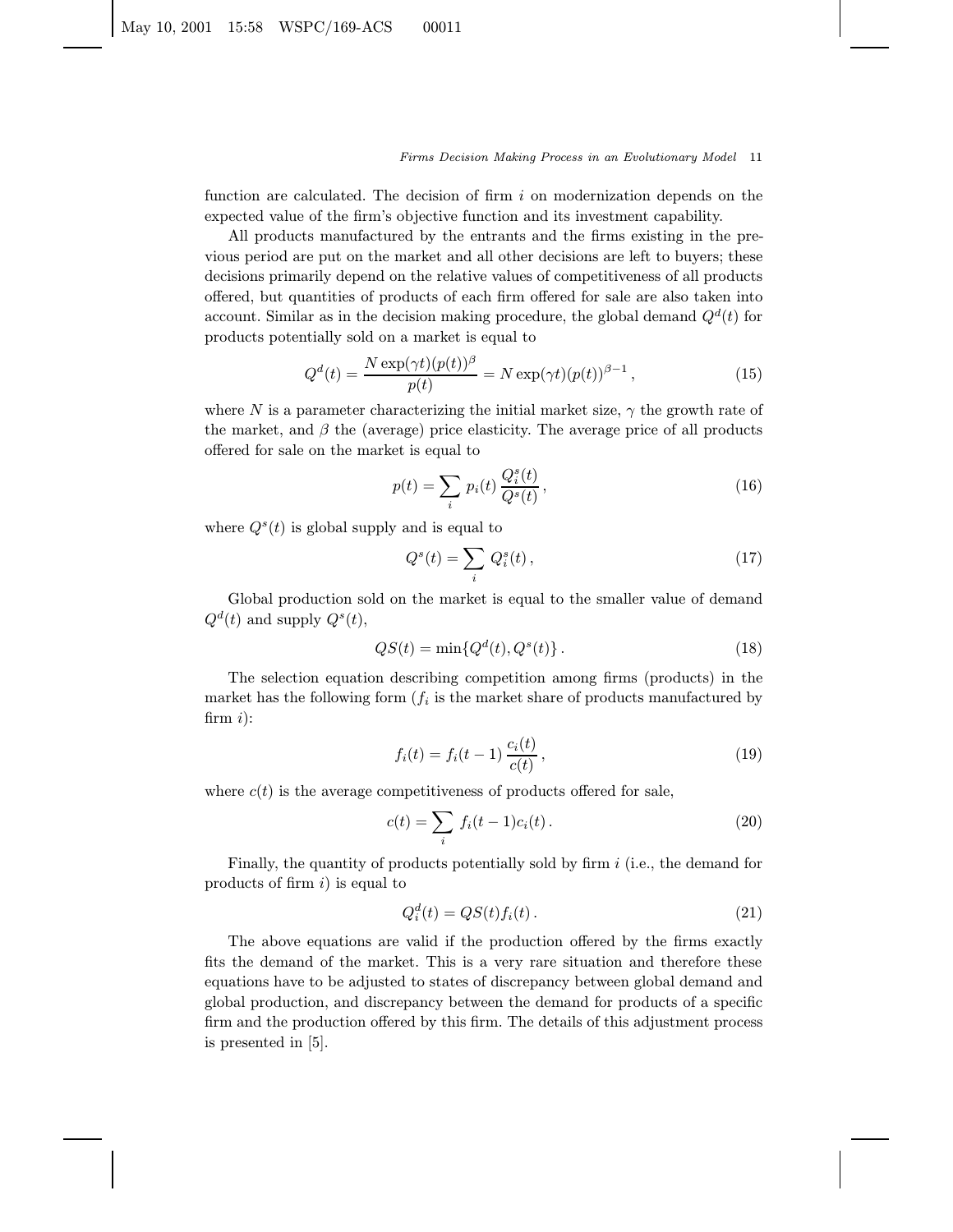function are calculated. The decision of firm  $i$  on modernization depends on the expected value of the firm's objective function and its investment capability.

All products manufactured by the entrants and the firms existing in the previous period are put on the market and all other decisions are left to buyers; these decisions primarily depend on the relative values of competitiveness of all products offered, but quantities of products of each firm offered for sale are also taken into account. Similar as in the decision making procedure, the global demand  $Q<sup>d</sup>(t)$  for products potentially sold on a market is equal to

$$
Q^{d}(t) = \frac{N \exp(\gamma t)(p(t))^{\beta}}{p(t)} = N \exp(\gamma t)(p(t))^{\beta - 1}, \qquad (15)
$$

where N is a parameter characterizing the initial market size,  $\gamma$  the growth rate of the market, and  $\beta$  the (average) price elasticity. The average price of all products offered for sale on the market is equal to

$$
p(t) = \sum_{i} p_i(t) \frac{Q_i^s(t)}{Q^s(t)},
$$
\n(16)

where  $Q^{s}(t)$  is global supply and is equal to

$$
Q^s(t) = \sum_i Q_i^s(t),\tag{17}
$$

Global production sold on the market is equal to the smaller value of demand  $Q^d(t)$  and supply  $Q^s(t)$ ,

$$
QS(t) = \min\{Q^d(t), Q^s(t)\}.
$$
\n(18)

The selection equation describing competition among firms (products) in the market has the following form  $(f_i$  is the market share of products manufactured by firm  $i$ :

$$
f_i(t) = f_i(t-1) \frac{c_i(t)}{c(t)},
$$
\n(19)

where  $c(t)$  is the average competitiveness of products offered for sale,

$$
c(t) = \sum_{i} f_i(t-1)c_i(t).
$$
 (20)

Finally, the quantity of products potentially sold by firm  $i$  (i.e., the demand for products of firm  $i$ ) is equal to

$$
Q_i^d(t) = QS(t)f_i(t).
$$
\n(21)

The above equations are valid if the production offered by the firms exactly fits the demand of the market. This is a very rare situation and therefore these equations have to be adjusted to states of discrepancy between global demand and global production, and discrepancy between the demand for products of a specific firm and the production offered by this firm. The details of this adjustment process is presented in [5].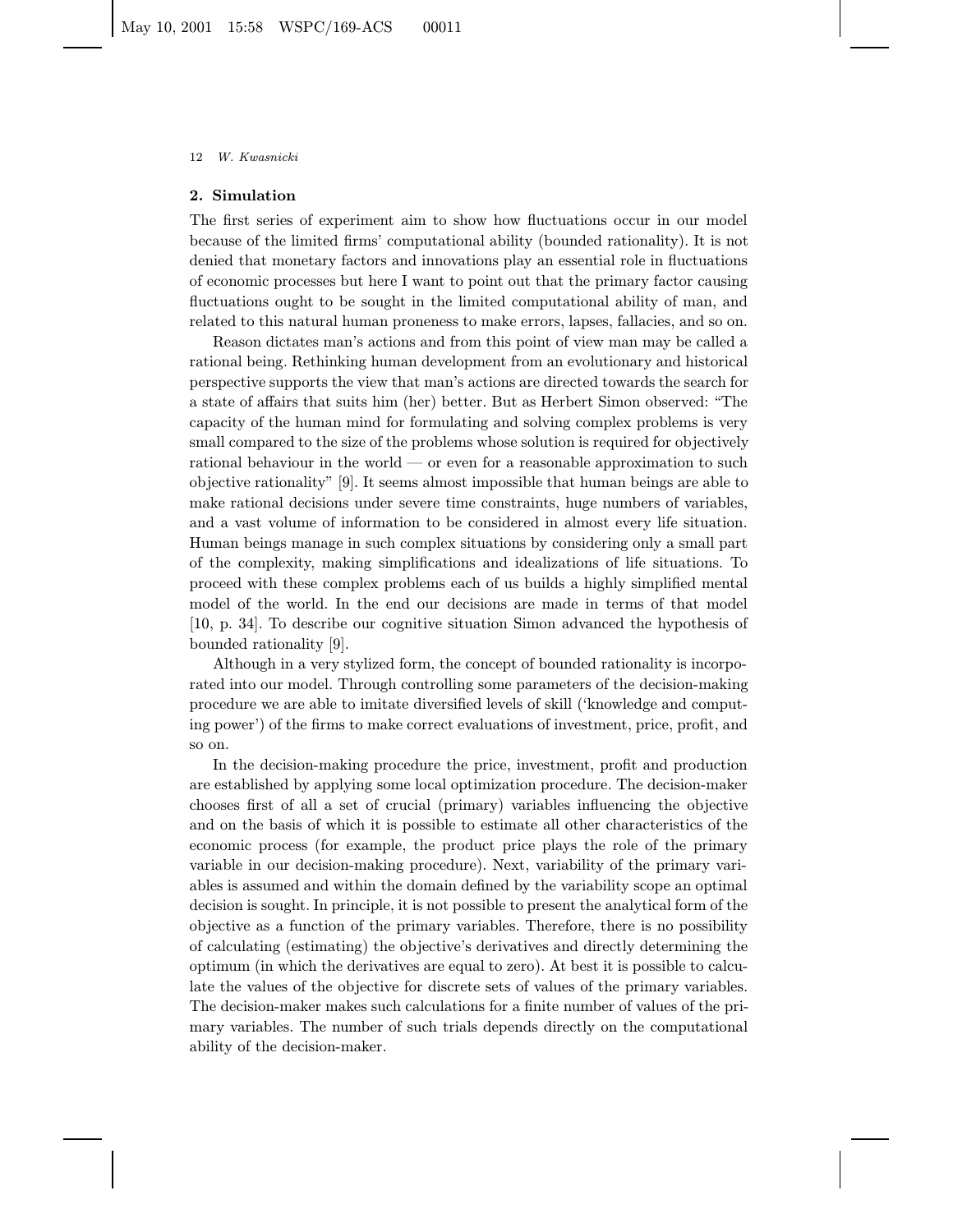#### 2. Simulation

The first series of experiment aim to show how fluctuations occur in our model because of the limited firms' computational ability (bounded rationality). It is not denied that monetary factors and innovations play an essential role in fluctuations of economic processes but here I want to point out that the primary factor causing fluctuations ought to be sought in the limited computational ability of man, and related to this natural human proneness to make errors, lapses, fallacies, and so on.

Reason dictates man's actions and from this point of view man may be called a rational being. Rethinking human development from an evolutionary and historical perspective supports the view that man's actions are directed towards the search for a state of affairs that suits him (her) better. But as Herbert Simon observed: "The capacity of the human mind for formulating and solving complex problems is very small compared to the size of the problems whose solution is required for objectively rational behaviour in the world — or even for a reasonable approximation to such objective rationality" [9]. It seems almost impossible that human beings are able to make rational decisions under severe time constraints, huge numbers of variables, and a vast volume of information to be considered in almost every life situation. Human beings manage in such complex situations by considering only a small part of the complexity, making simplifications and idealizations of life situations. To proceed with these complex problems each of us builds a highly simplified mental model of the world. In the end our decisions are made in terms of that model [10, p. 34]. To describe our cognitive situation Simon advanced the hypothesis of bounded rationality [9].

Although in a very stylized form, the concept of bounded rationality is incorporated into our model. Through controlling some parameters of the decision-making procedure we are able to imitate diversified levels of skill ('knowledge and computing power') of the firms to make correct evaluations of investment, price, profit, and so on.

In the decision-making procedure the price, investment, profit and production are established by applying some local optimization procedure. The decision-maker chooses first of all a set of crucial (primary) variables influencing the objective and on the basis of which it is possible to estimate all other characteristics of the economic process (for example, the product price plays the role of the primary variable in our decision-making procedure). Next, variability of the primary variables is assumed and within the domain defined by the variability scope an optimal decision is sought. In principle, it is not possible to present the analytical form of the objective as a function of the primary variables. Therefore, there is no possibility of calculating (estimating) the objective's derivatives and directly determining the optimum (in which the derivatives are equal to zero). At best it is possible to calculate the values of the objective for discrete sets of values of the primary variables. The decision-maker makes such calculations for a finite number of values of the primary variables. The number of such trials depends directly on the computational ability of the decision-maker.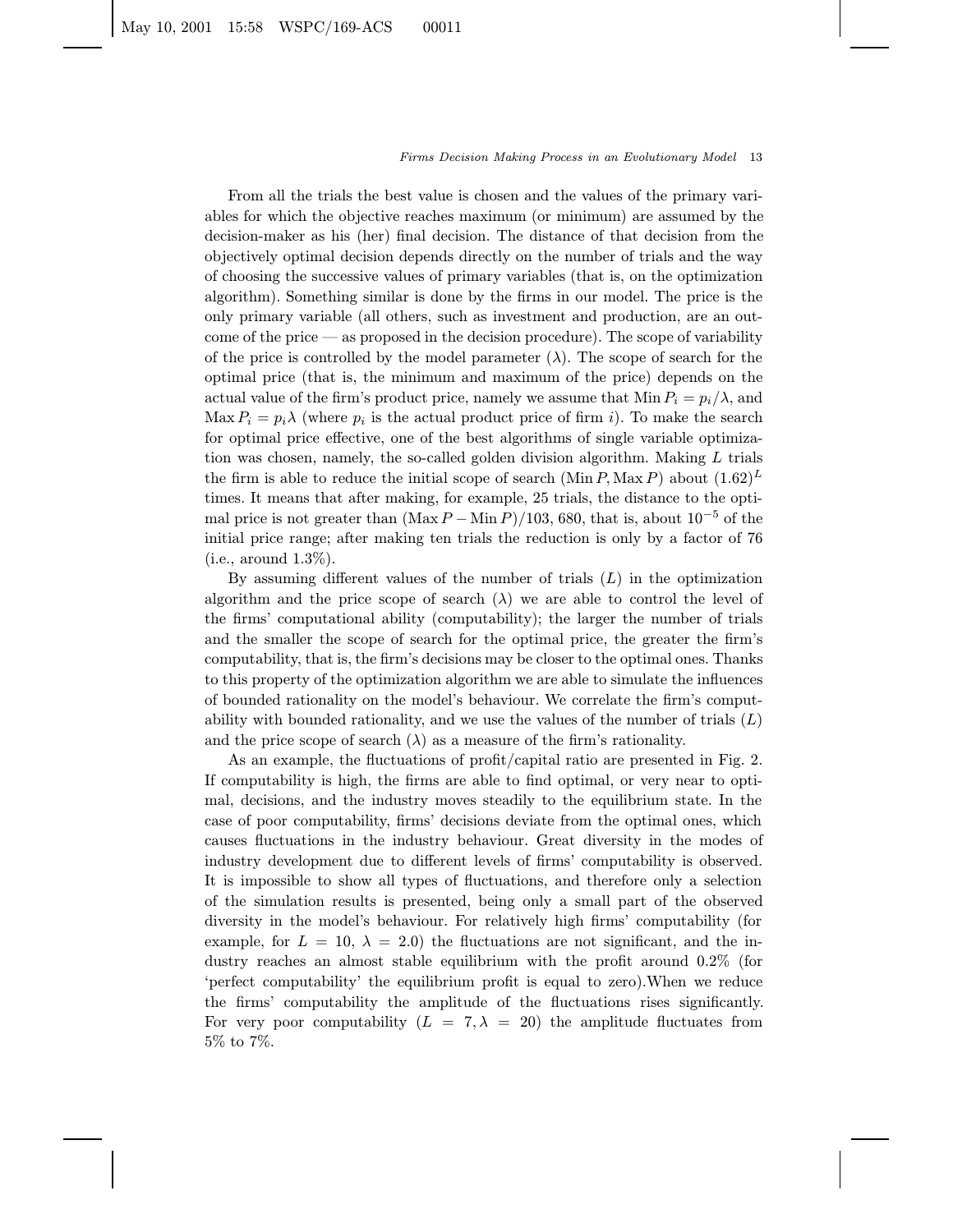From all the trials the best value is chosen and the values of the primary variables for which the objective reaches maximum (or minimum) are assumed by the decision-maker as his (her) final decision. The distance of that decision from the objectively optimal decision depends directly on the number of trials and the way of choosing the successive values of primary variables (that is, on the optimization algorithm). Something similar is done by the firms in our model. The price is the only primary variable (all others, such as investment and production, are an outcome of the price — as proposed in the decision procedure). The scope of variability of the price is controlled by the model parameter  $(\lambda)$ . The scope of search for the optimal price (that is, the minimum and maximum of the price) depends on the actual value of the firm's product price, namely we assume that  $\text{Min } P_i = p_i/\lambda$ , and Max  $P_i = p_i \lambda$  (where  $p_i$  is the actual product price of firm i). To make the search for optimal price effective, one of the best algorithms of single variable optimization was chosen, namely, the so-called golden division algorithm. Making L trials the firm is able to reduce the initial scope of search (Min P, Max P) about  $(1.62)^L$ times. It means that after making, for example, 25 trials, the distance to the optimal price is not greater than  $(\text{Max }P - \text{Min }P)/103$ , 680, that is, about 10<sup>-5</sup> of the initial price range; after making ten trials the reduction is only by a factor of 76 (i.e., around 1.3%).

By assuming different values of the number of trials  $(L)$  in the optimization algorithm and the price scope of search  $(\lambda)$  we are able to control the level of the firms' computational ability (computability); the larger the number of trials and the smaller the scope of search for the optimal price, the greater the firm's computability, that is, the firm's decisions may be closer to the optimal ones. Thanks to this property of the optimization algorithm we are able to simulate the influences of bounded rationality on the model's behaviour. We correlate the firm's computability with bounded rationality, and we use the values of the number of trials  $(L)$ and the price scope of search  $(\lambda)$  as a measure of the firm's rationality.

As an example, the fluctuations of profit/capital ratio are presented in Fig. 2. If computability is high, the firms are able to find optimal, or very near to optimal, decisions, and the industry moves steadily to the equilibrium state. In the case of poor computability, firms' decisions deviate from the optimal ones, which causes fluctuations in the industry behaviour. Great diversity in the modes of industry development due to different levels of firms' computability is observed. It is impossible to show all types of fluctuations, and therefore only a selection of the simulation results is presented, being only a small part of the observed diversity in the model's behaviour. For relatively high firms' computability (for example, for  $L = 10, \lambda = 2.0$  the fluctuations are not significant, and the industry reaches an almost stable equilibrium with the profit around 0.2% (for 'perfect computability' the equilibrium profit is equal to zero).When we reduce the firms' computability the amplitude of the fluctuations rises significantly. For very poor computability  $(L = 7, \lambda = 20)$  the amplitude fluctuates from 5% to 7%.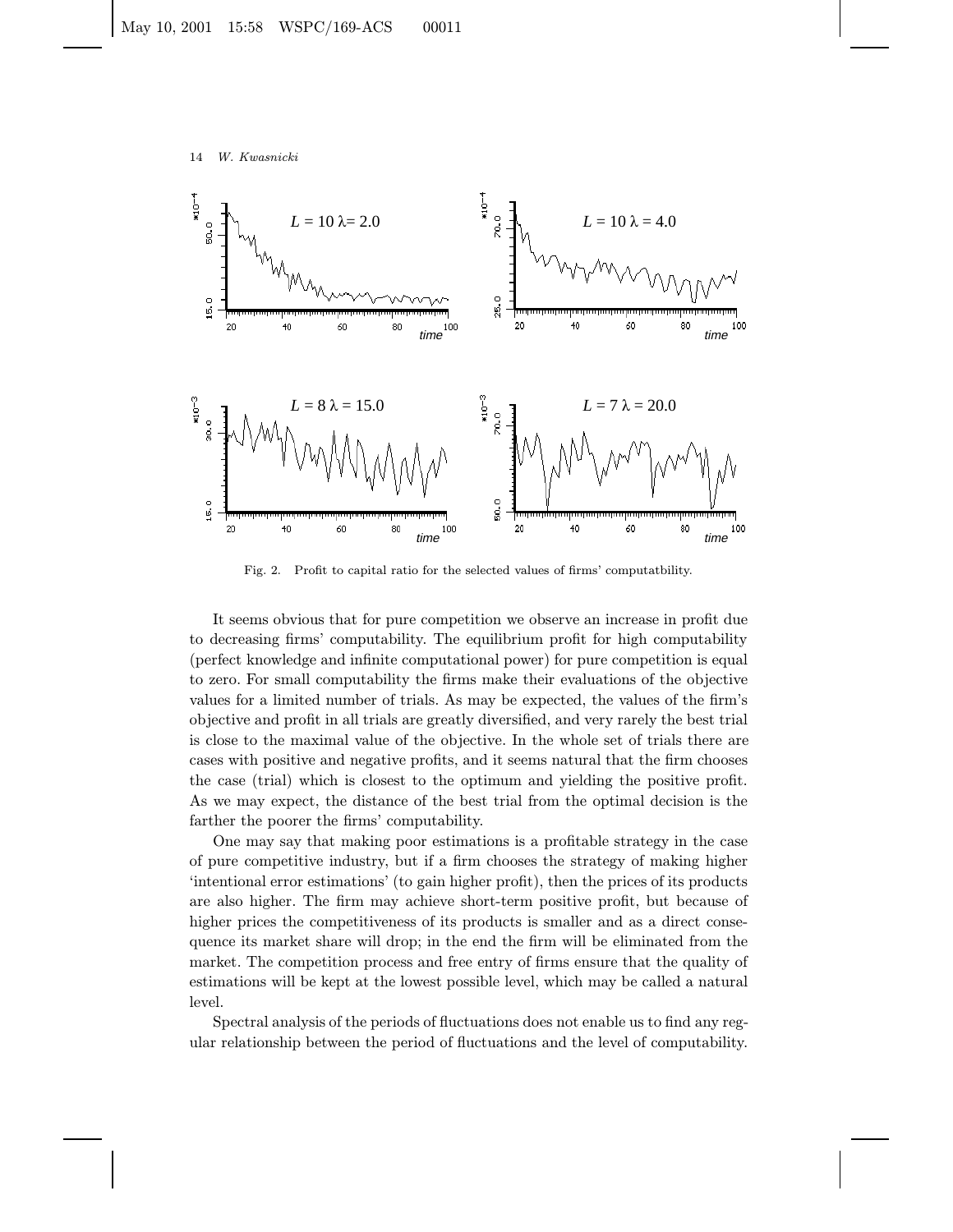

Fig. 2. Profit to capital ratio for the selected values of firms' computatbility.

It seems obvious that for pure competition we observe an increase in profit due to decreasing firms' computability. The equilibrium profit for high computability (perfect knowledge and infinite computational power) for pure competition is equal to zero. For small computability the firms make their evaluations of the objective values for a limited number of trials. As may be expected, the values of the firm's objective and profit in all trials are greatly diversified, and very rarely the best trial is close to the maximal value of the objective. In the whole set of trials there are cases with positive and negative profits, and it seems natural that the firm chooses the case (trial) which is closest to the optimum and yielding the positive profit. As we may expect, the distance of the best trial from the optimal decision is the farther the poorer the firms' computability.

One may say that making poor estimations is a profitable strategy in the case of pure competitive industry, but if a firm chooses the strategy of making higher 'intentional error estimations' (to gain higher profit), then the prices of its products are also higher. The firm may achieve short-term positive profit, but because of higher prices the competitiveness of its products is smaller and as a direct consequence its market share will drop; in the end the firm will be eliminated from the market. The competition process and free entry of firms ensure that the quality of estimations will be kept at the lowest possible level, which may be called a natural level.

Spectral analysis of the periods of fluctuations does not enable us to find any regular relationship between the period of fluctuations and the level of computability.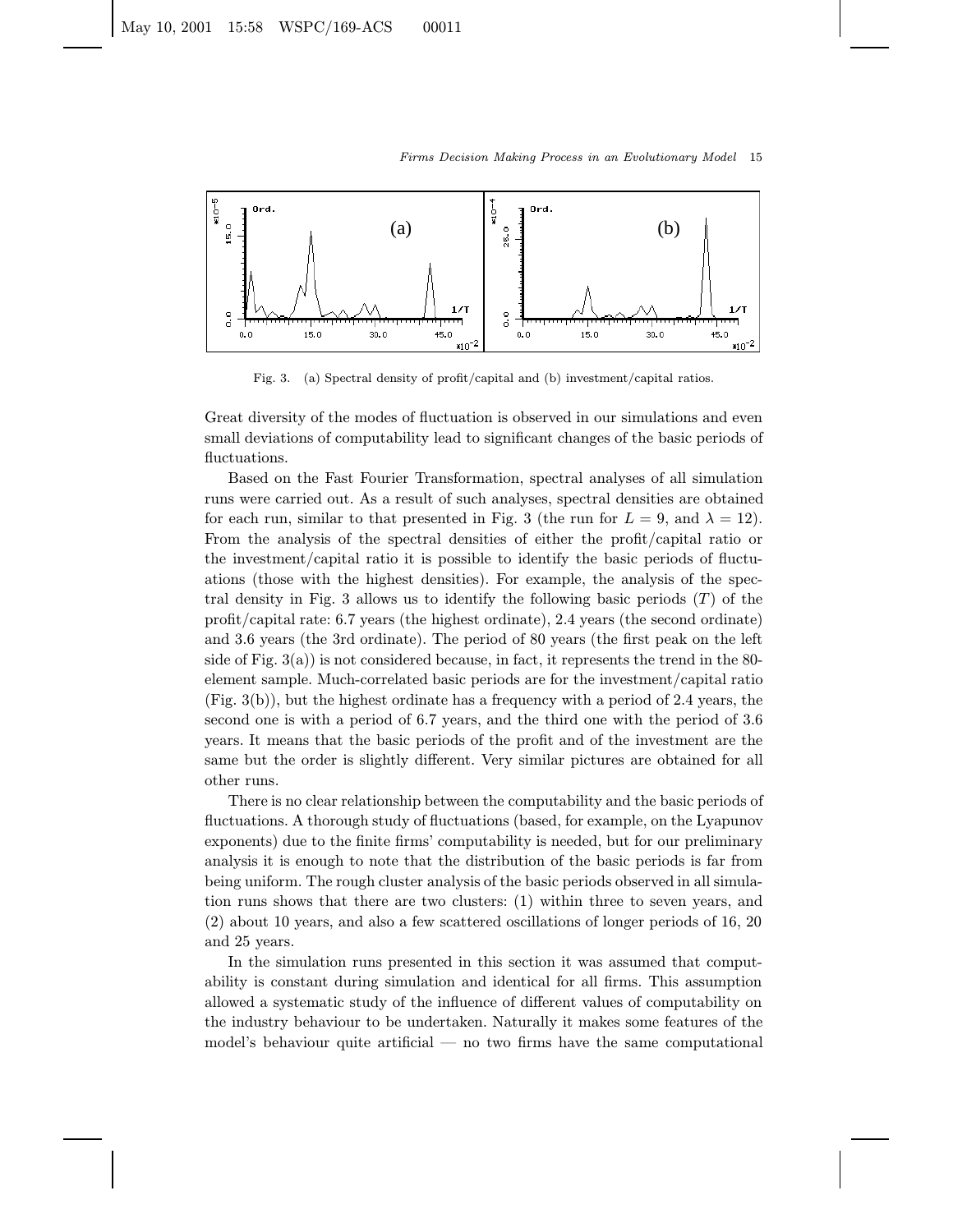

Firms Decision Making Process in an Evolutionary Model 15

Fig. 3. (a) Spectral density of profit/capital and (b) investment/capital ratios.

Great diversity of the modes of fluctuation is observed in our simulations and even small deviations of computability lead to significant changes of the basic periods of fluctuations.

Based on the Fast Fourier Transformation, spectral analyses of all simulation runs were carried out. As a result of such analyses, spectral densities are obtained for each run, similar to that presented in Fig. 3 (the run for  $L = 9$ , and  $\lambda = 12$ ). From the analysis of the spectral densities of either the profit/capital ratio or the investment/capital ratio it is possible to identify the basic periods of fluctuations (those with the highest densities). For example, the analysis of the spectral density in Fig. 3 allows us to identify the following basic periods  $(T)$  of the profit/capital rate: 6.7 years (the highest ordinate), 2.4 years (the second ordinate) and 3.6 years (the 3rd ordinate). The period of 80 years (the first peak on the left side of Fig. 3(a)) is not considered because, in fact, it represents the trend in the 80 element sample. Much-correlated basic periods are for the investment/capital ratio (Fig. 3(b)), but the highest ordinate has a frequency with a period of 2.4 years, the second one is with a period of 6.7 years, and the third one with the period of 3.6 years. It means that the basic periods of the profit and of the investment are the same but the order is slightly different. Very similar pictures are obtained for all other runs.

There is no clear relationship between the computability and the basic periods of fluctuations. A thorough study of fluctuations (based, for example, on the Lyapunov exponents) due to the finite firms' computability is needed, but for our preliminary analysis it is enough to note that the distribution of the basic periods is far from being uniform. The rough cluster analysis of the basic periods observed in all simulation runs shows that there are two clusters: (1) within three to seven years, and (2) about 10 years, and also a few scattered oscillations of longer periods of 16, 20 and 25 years.

In the simulation runs presented in this section it was assumed that computability is constant during simulation and identical for all firms. This assumption allowed a systematic study of the influence of different values of computability on the industry behaviour to be undertaken. Naturally it makes some features of the model's behaviour quite artificial — no two firms have the same computational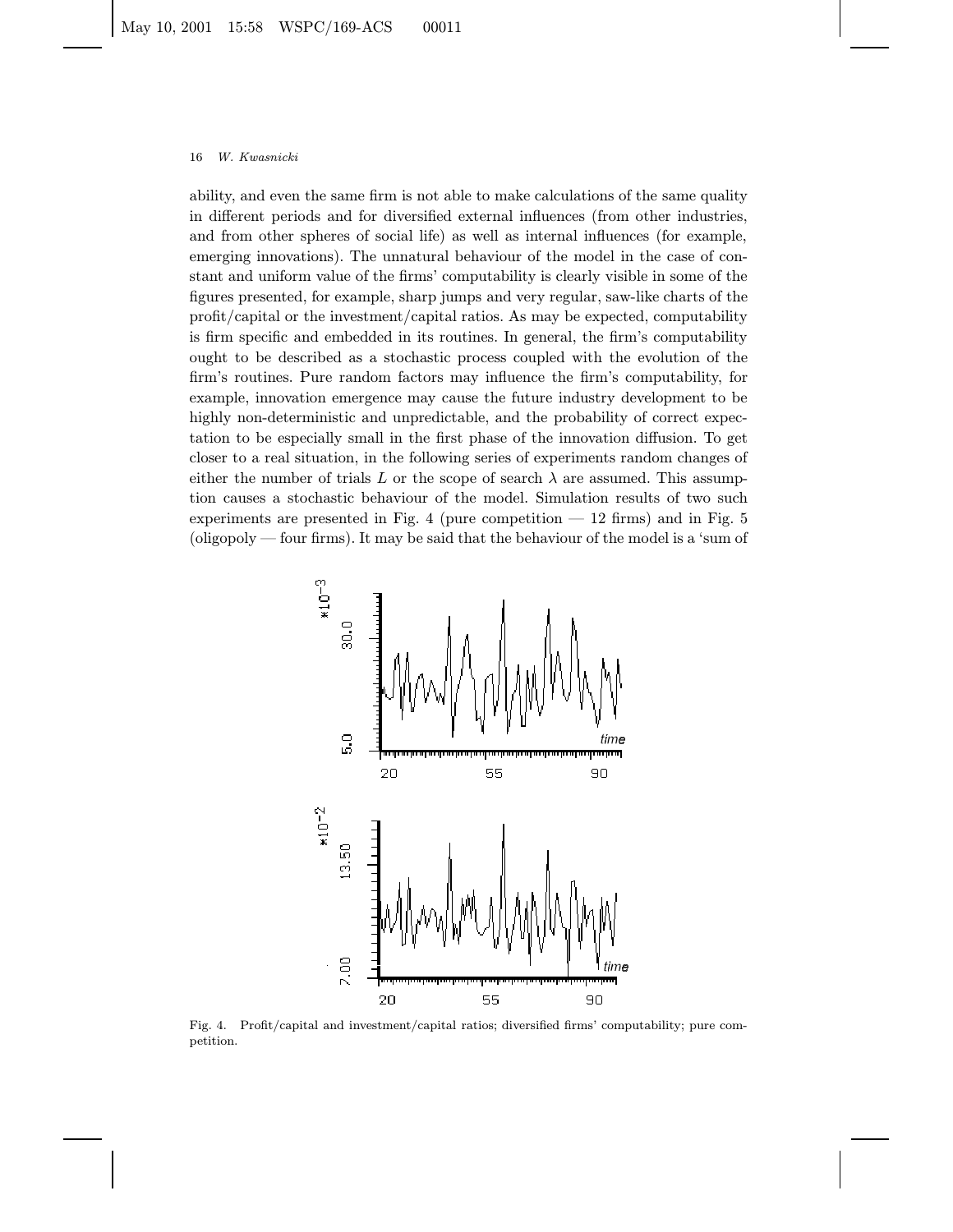ability, and even the same firm is not able to make calculations of the same quality in different periods and for diversified external influences (from other industries, and from other spheres of social life) as well as internal influences (for example, emerging innovations). The unnatural behaviour of the model in the case of constant and uniform value of the firms' computability is clearly visible in some of the figures presented, for example, sharp jumps and very regular, saw-like charts of the profit/capital or the investment/capital ratios. As may be expected, computability is firm specific and embedded in its routines. In general, the firm's computability ought to be described as a stochastic process coupled with the evolution of the firm's routines. Pure random factors may influence the firm's computability, for example, innovation emergence may cause the future industry development to be highly non-deterministic and unpredictable, and the probability of correct expectation to be especially small in the first phase of the innovation diffusion. To get closer to a real situation, in the following series of experiments random changes of either the number of trials L or the scope of search  $\lambda$  are assumed. This assumption causes a stochastic behaviour of the model. Simulation results of two such experiments are presented in Fig. 4 (pure competition  $-12$  firms) and in Fig. 5 (oligopoly — four firms). It may be said that the behaviour of the model is a 'sum of



Fig. 4. Profit/capital and investment/capital ratios; diversified firms' computability; pure competition.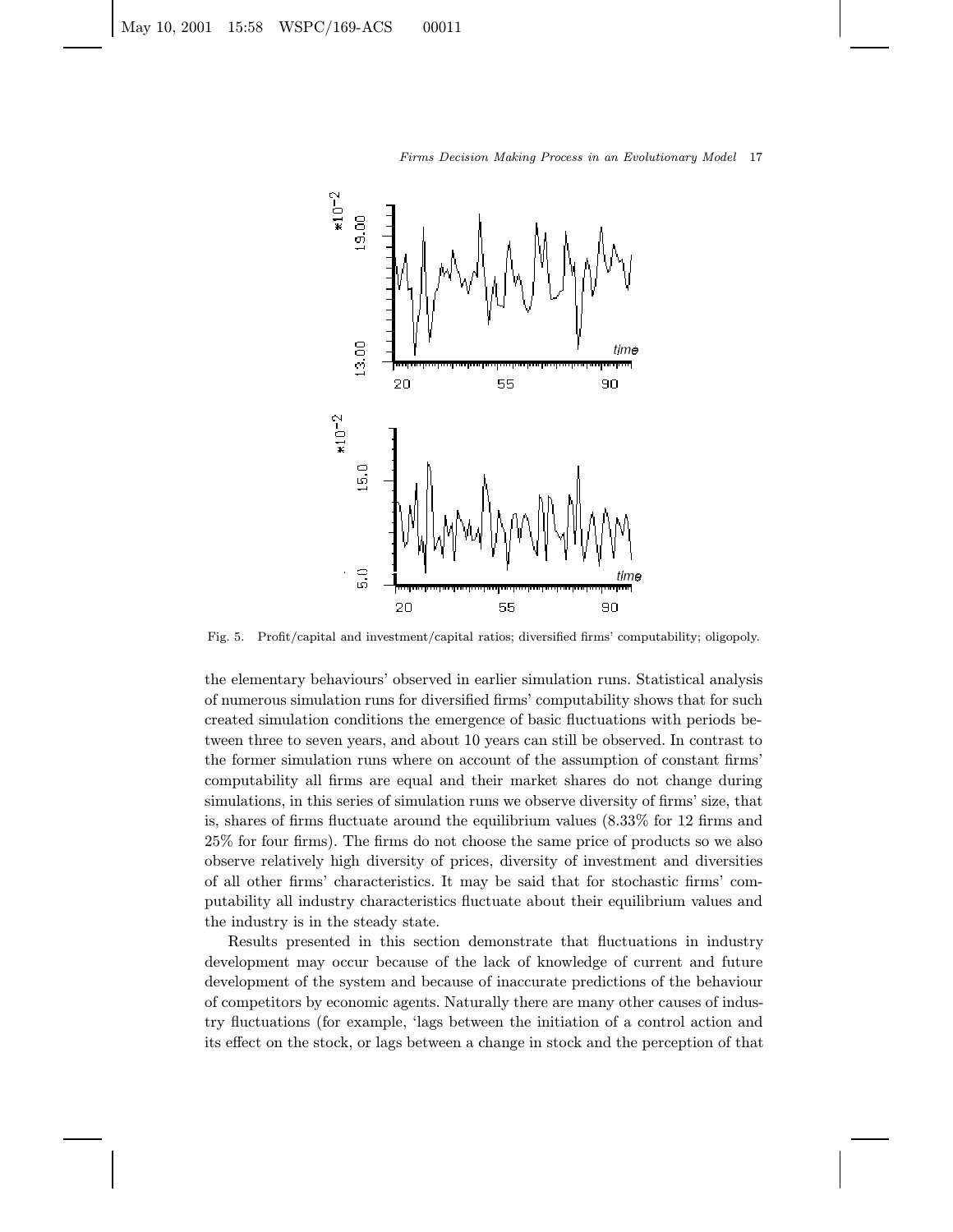

Firms Decision Making Process in an Evolutionary Model 17

Fig. 5. Profit/capital and investment/capital ratios; diversified firms' computability; oligopoly.

the elementary behaviours' observed in earlier simulation runs. Statistical analysis of numerous simulation runs for diversified firms' computability shows that for such created simulation conditions the emergence of basic fluctuations with periods between three to seven years, and about 10 years can still be observed. In contrast to the former simulation runs where on account of the assumption of constant firms' computability all firms are equal and their market shares do not change during simulations, in this series of simulation runs we observe diversity of firms' size, that is, shares of firms fluctuate around the equilibrium values (8.33% for 12 firms and 25% for four firms). The firms do not choose the same price of products so we also observe relatively high diversity of prices, diversity of investment and diversities of all other firms' characteristics. It may be said that for stochastic firms' computability all industry characteristics fluctuate about their equilibrium values and the industry is in the steady state.

Results presented in this section demonstrate that fluctuations in industry development may occur because of the lack of knowledge of current and future development of the system and because of inaccurate predictions of the behaviour of competitors by economic agents. Naturally there are many other causes of industry fluctuations (for example, 'lags between the initiation of a control action and its effect on the stock, or lags between a change in stock and the perception of that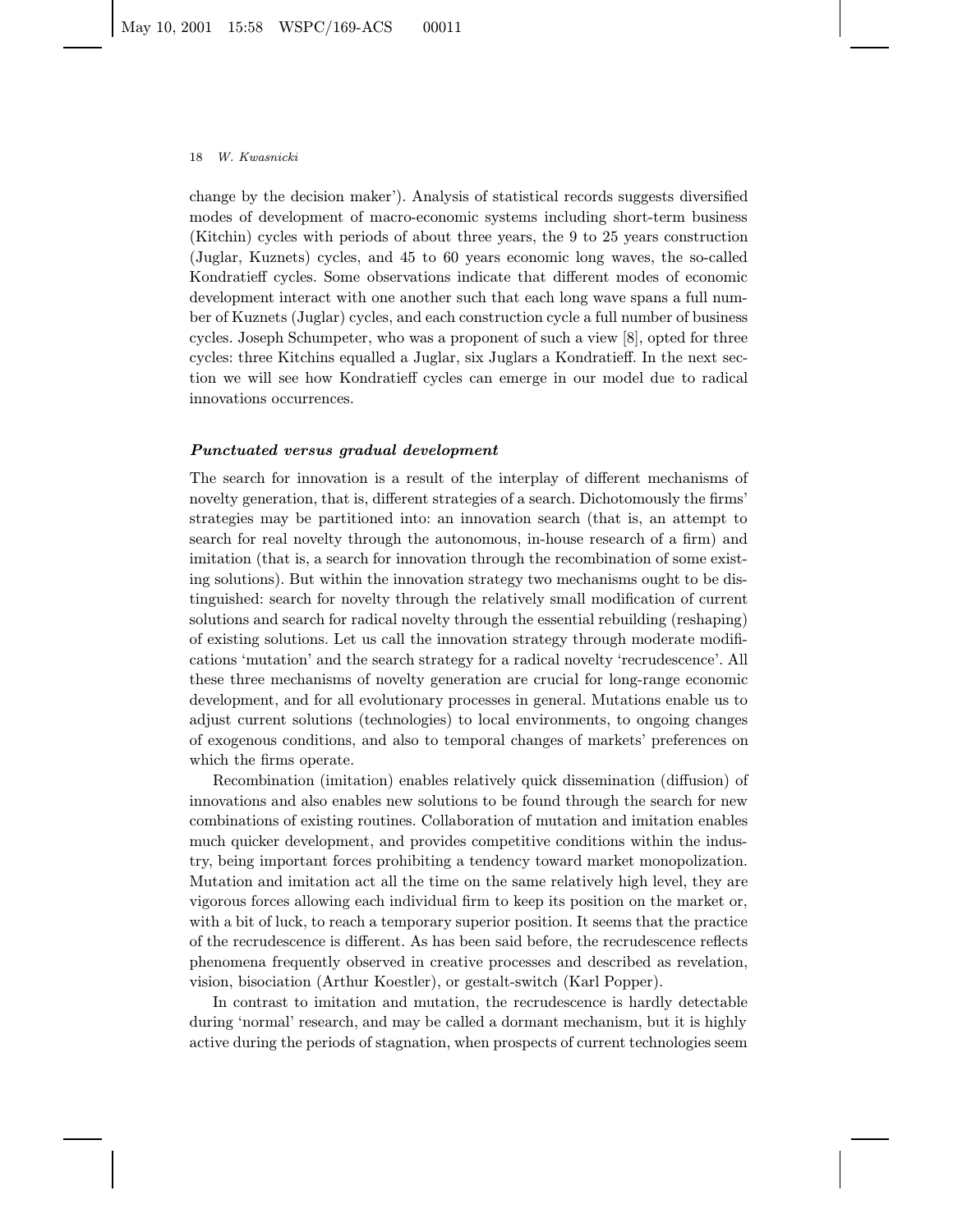change by the decision maker'). Analysis of statistical records suggests diversified modes of development of macro-economic systems including short-term business (Kitchin) cycles with periods of about three years, the 9 to 25 years construction (Juglar, Kuznets) cycles, and 45 to 60 years economic long waves, the so-called Kondratieff cycles. Some observations indicate that different modes of economic development interact with one another such that each long wave spans a full number of Kuznets (Juglar) cycles, and each construction cycle a full number of business cycles. Joseph Schumpeter, who was a proponent of such a view [8], opted for three cycles: three Kitchins equalled a Juglar, six Juglars a Kondratieff. In the next section we will see how Kondratieff cycles can emerge in our model due to radical innovations occurrences.

## Punctuated versus gradual development

The search for innovation is a result of the interplay of different mechanisms of novelty generation, that is, different strategies of a search. Dichotomously the firms' strategies may be partitioned into: an innovation search (that is, an attempt to search for real novelty through the autonomous, in-house research of a firm) and imitation (that is, a search for innovation through the recombination of some existing solutions). But within the innovation strategy two mechanisms ought to be distinguished: search for novelty through the relatively small modification of current solutions and search for radical novelty through the essential rebuilding (reshaping) of existing solutions. Let us call the innovation strategy through moderate modifications 'mutation' and the search strategy for a radical novelty 'recrudescence'. All these three mechanisms of novelty generation are crucial for long-range economic development, and for all evolutionary processes in general. Mutations enable us to adjust current solutions (technologies) to local environments, to ongoing changes of exogenous conditions, and also to temporal changes of markets' preferences on which the firms operate.

Recombination (imitation) enables relatively quick dissemination (diffusion) of innovations and also enables new solutions to be found through the search for new combinations of existing routines. Collaboration of mutation and imitation enables much quicker development, and provides competitive conditions within the industry, being important forces prohibiting a tendency toward market monopolization. Mutation and imitation act all the time on the same relatively high level, they are vigorous forces allowing each individual firm to keep its position on the market or, with a bit of luck, to reach a temporary superior position. It seems that the practice of the recrudescence is different. As has been said before, the recrudescence reflects phenomena frequently observed in creative processes and described as revelation, vision, bisociation (Arthur Koestler), or gestalt-switch (Karl Popper).

In contrast to imitation and mutation, the recrudescence is hardly detectable during 'normal' research, and may be called a dormant mechanism, but it is highly active during the periods of stagnation, when prospects of current technologies seem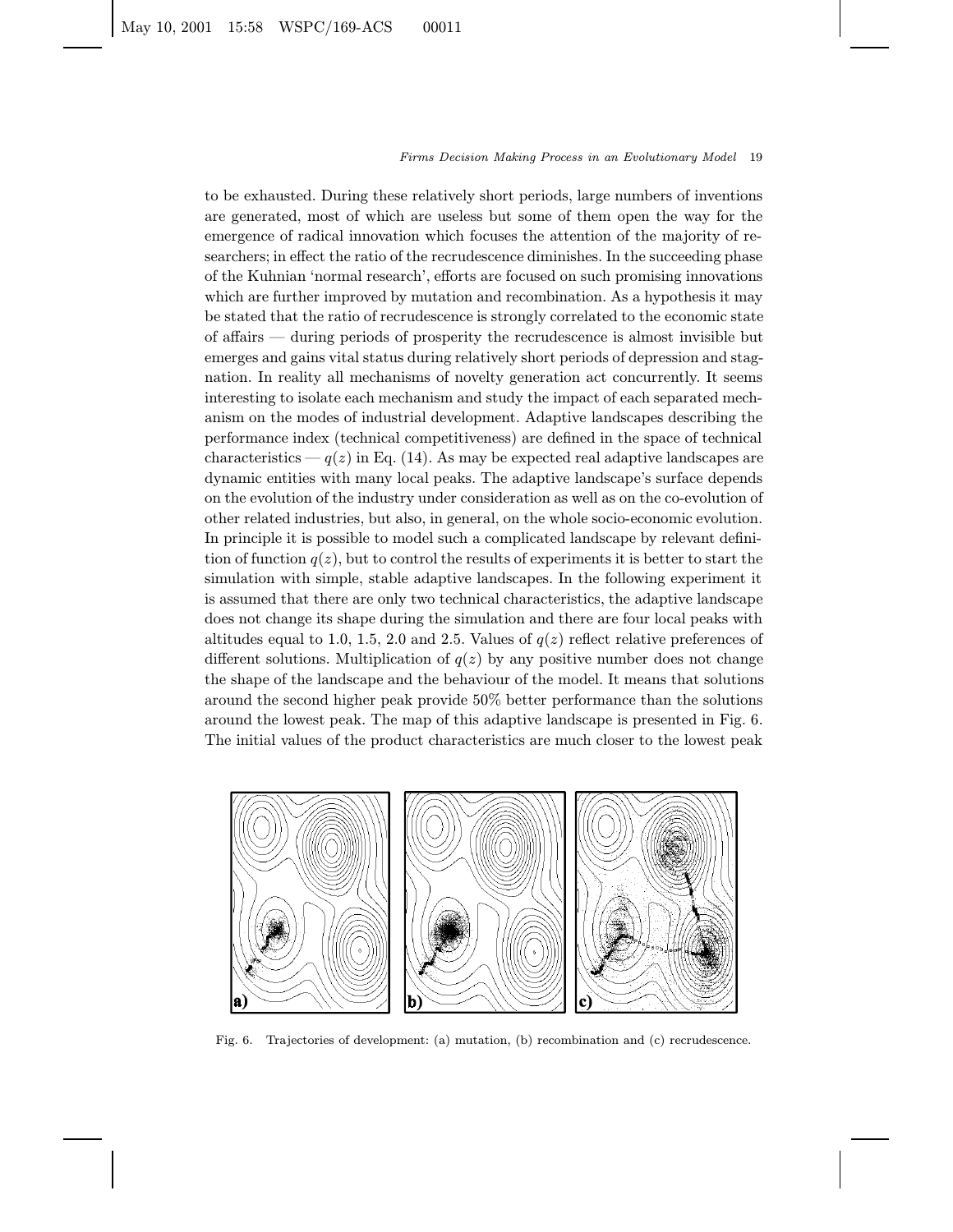to be exhausted. During these relatively short periods, large numbers of inventions are generated, most of which are useless but some of them open the way for the emergence of radical innovation which focuses the attention of the majority of researchers; in effect the ratio of the recrudescence diminishes. In the succeeding phase of the Kuhnian 'normal research', efforts are focused on such promising innovations which are further improved by mutation and recombination. As a hypothesis it may be stated that the ratio of recrudescence is strongly correlated to the economic state of affairs — during periods of prosperity the recrudescence is almost invisible but emerges and gains vital status during relatively short periods of depression and stagnation. In reality all mechanisms of novelty generation act concurrently. It seems interesting to isolate each mechanism and study the impact of each separated mechanism on the modes of industrial development. Adaptive landscapes describing the performance index (technical competitiveness) are defined in the space of technical characteristics —  $q(z)$  in Eq. (14). As may be expected real adaptive landscapes are dynamic entities with many local peaks. The adaptive landscape's surface depends on the evolution of the industry under consideration as well as on the co-evolution of other related industries, but also, in general, on the whole socio-economic evolution. In principle it is possible to model such a complicated landscape by relevant definition of function  $q(z)$ , but to control the results of experiments it is better to start the simulation with simple, stable adaptive landscapes. In the following experiment it is assumed that there are only two technical characteristics, the adaptive landscape does not change its shape during the simulation and there are four local peaks with altitudes equal to 1.0, 1.5, 2.0 and 2.5. Values of  $q(z)$  reflect relative preferences of different solutions. Multiplication of  $q(z)$  by any positive number does not change the shape of the landscape and the behaviour of the model. It means that solutions around the second higher peak provide 50% better performance than the solutions around the lowest peak. The map of this adaptive landscape is presented in Fig. 6. The initial values of the product characteristics are much closer to the lowest peak



Fig. 6. Trajectories of development: (a) mutation, (b) recombination and (c) recrudescence.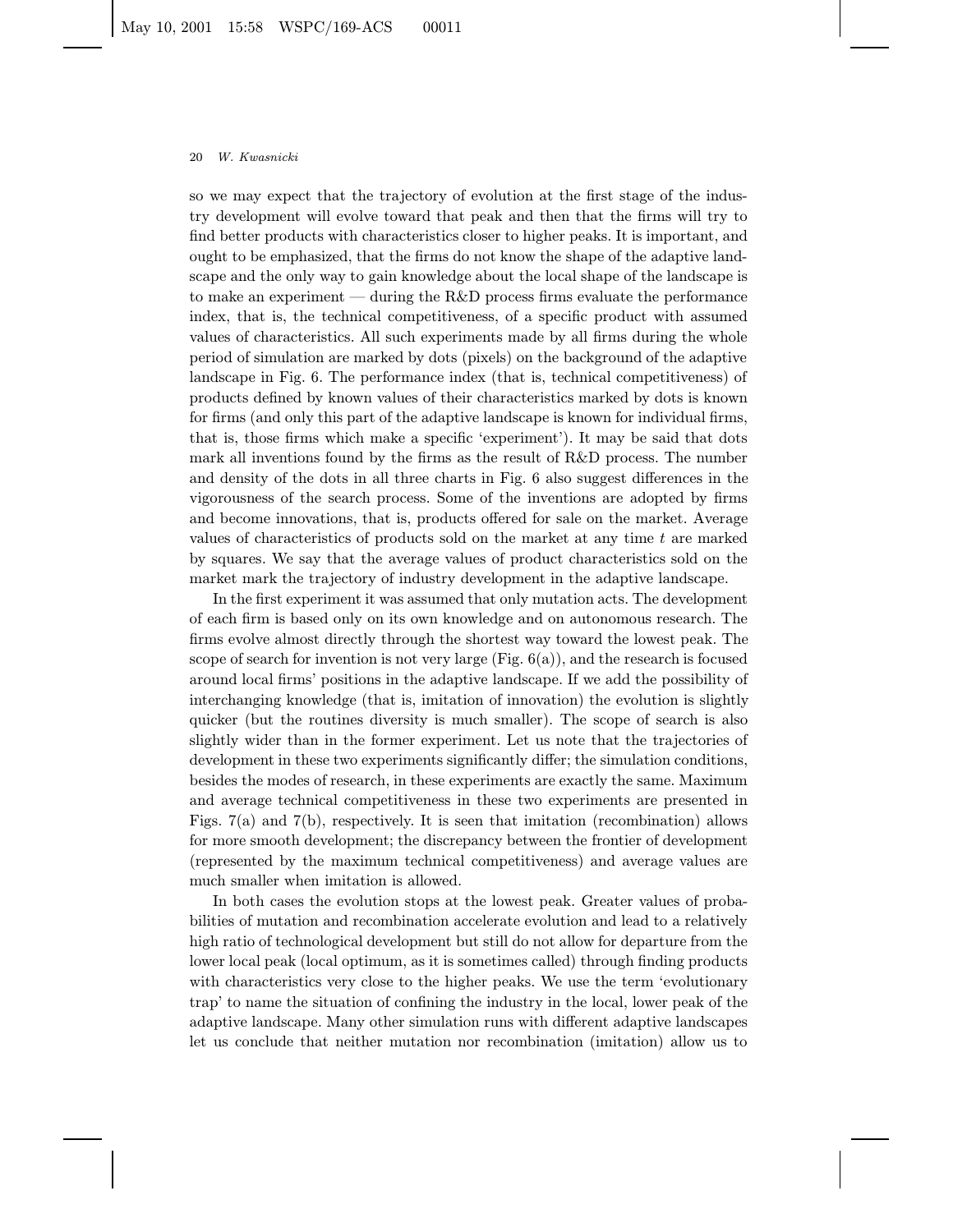so we may expect that the trajectory of evolution at the first stage of the industry development will evolve toward that peak and then that the firms will try to find better products with characteristics closer to higher peaks. It is important, and ought to be emphasized, that the firms do not know the shape of the adaptive landscape and the only way to gain knowledge about the local shape of the landscape is to make an experiment — during the R&D process firms evaluate the performance index, that is, the technical competitiveness, of a specific product with assumed values of characteristics. All such experiments made by all firms during the whole period of simulation are marked by dots (pixels) on the background of the adaptive landscape in Fig. 6. The performance index (that is, technical competitiveness) of products defined by known values of their characteristics marked by dots is known for firms (and only this part of the adaptive landscape is known for individual firms, that is, those firms which make a specific 'experiment'). It may be said that dots mark all inventions found by the firms as the result of R&D process. The number and density of the dots in all three charts in Fig. 6 also suggest differences in the vigorousness of the search process. Some of the inventions are adopted by firms and become innovations, that is, products offered for sale on the market. Average values of characteristics of products sold on the market at any time  $t$  are marked by squares. We say that the average values of product characteristics sold on the market mark the trajectory of industry development in the adaptive landscape.

In the first experiment it was assumed that only mutation acts. The development of each firm is based only on its own knowledge and on autonomous research. The firms evolve almost directly through the shortest way toward the lowest peak. The scope of search for invention is not very large  $(Fig. 6(a))$ , and the research is focused around local firms' positions in the adaptive landscape. If we add the possibility of interchanging knowledge (that is, imitation of innovation) the evolution is slightly quicker (but the routines diversity is much smaller). The scope of search is also slightly wider than in the former experiment. Let us note that the trajectories of development in these two experiments significantly differ; the simulation conditions, besides the modes of research, in these experiments are exactly the same. Maximum and average technical competitiveness in these two experiments are presented in Figs. 7(a) and 7(b), respectively. It is seen that imitation (recombination) allows for more smooth development; the discrepancy between the frontier of development (represented by the maximum technical competitiveness) and average values are much smaller when imitation is allowed.

In both cases the evolution stops at the lowest peak. Greater values of probabilities of mutation and recombination accelerate evolution and lead to a relatively high ratio of technological development but still do not allow for departure from the lower local peak (local optimum, as it is sometimes called) through finding products with characteristics very close to the higher peaks. We use the term 'evolutionary trap' to name the situation of confining the industry in the local, lower peak of the adaptive landscape. Many other simulation runs with different adaptive landscapes let us conclude that neither mutation nor recombination (imitation) allow us to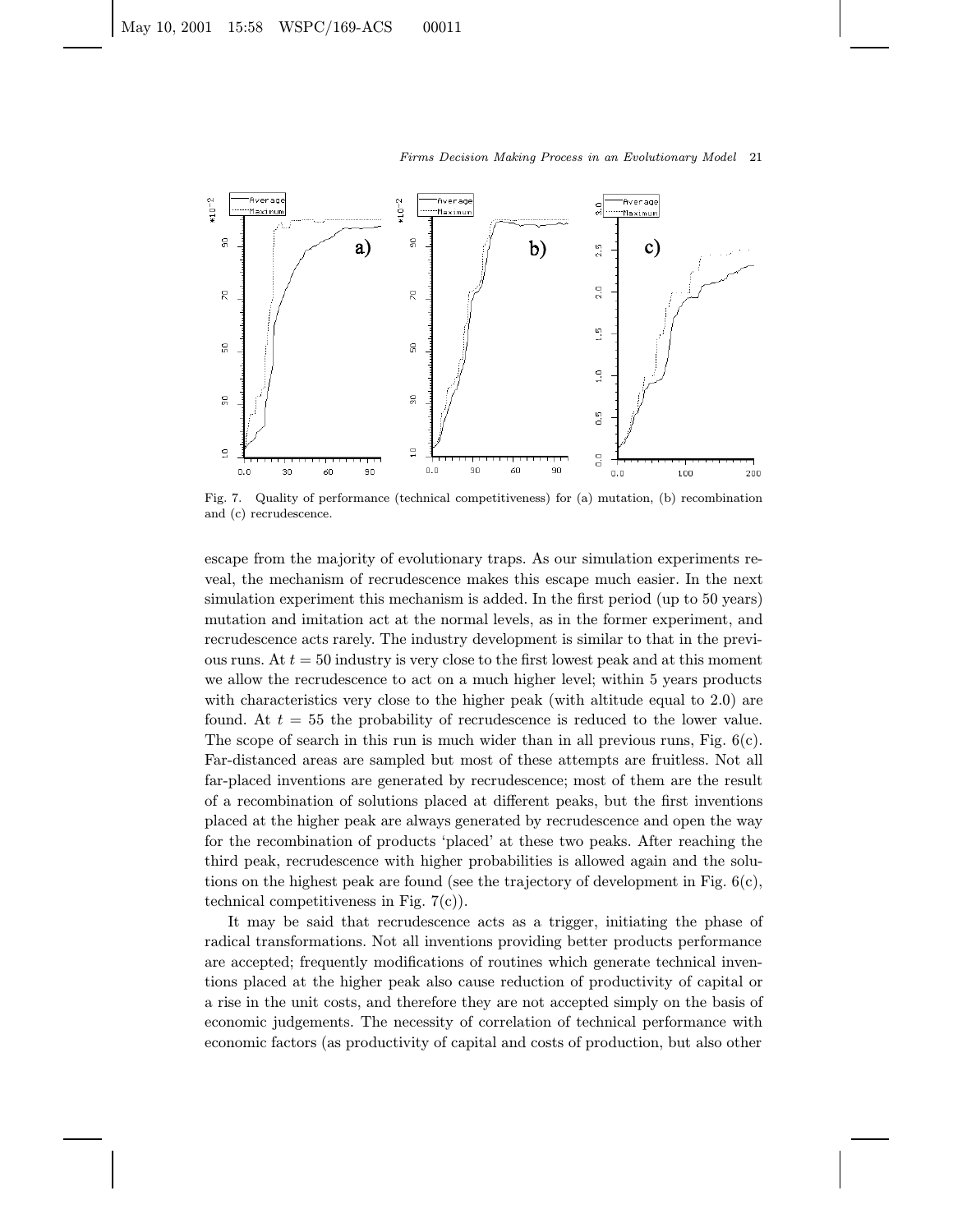

Firms Decision Making Process in an Evolutionary Model 21

Fig. 7. Quality of performance (technical competitiveness) for (a) mutation, (b) recombination and (c) recrudescence.

escape from the majority of evolutionary traps. As our simulation experiments reveal, the mechanism of recrudescence makes this escape much easier. In the next simulation experiment this mechanism is added. In the first period (up to 50 years) mutation and imitation act at the normal levels, as in the former experiment, and recrudescence acts rarely. The industry development is similar to that in the previous runs. At  $t = 50$  industry is very close to the first lowest peak and at this moment we allow the recrudescence to act on a much higher level; within 5 years products with characteristics very close to the higher peak (with altitude equal to 2.0) are found. At  $t = 55$  the probability of recrudescence is reduced to the lower value. The scope of search in this run is much wider than in all previous runs, Fig.  $6(c)$ . Far-distanced areas are sampled but most of these attempts are fruitless. Not all far-placed inventions are generated by recrudescence; most of them are the result of a recombination of solutions placed at different peaks, but the first inventions placed at the higher peak are always generated by recrudescence and open the way for the recombination of products 'placed' at these two peaks. After reaching the third peak, recrudescence with higher probabilities is allowed again and the solutions on the highest peak are found (see the trajectory of development in Fig.  $6(c)$ , technical competitiveness in Fig. 7(c)).

It may be said that recrudescence acts as a trigger, initiating the phase of radical transformations. Not all inventions providing better products performance are accepted; frequently modifications of routines which generate technical inventions placed at the higher peak also cause reduction of productivity of capital or a rise in the unit costs, and therefore they are not accepted simply on the basis of economic judgements. The necessity of correlation of technical performance with economic factors (as productivity of capital and costs of production, but also other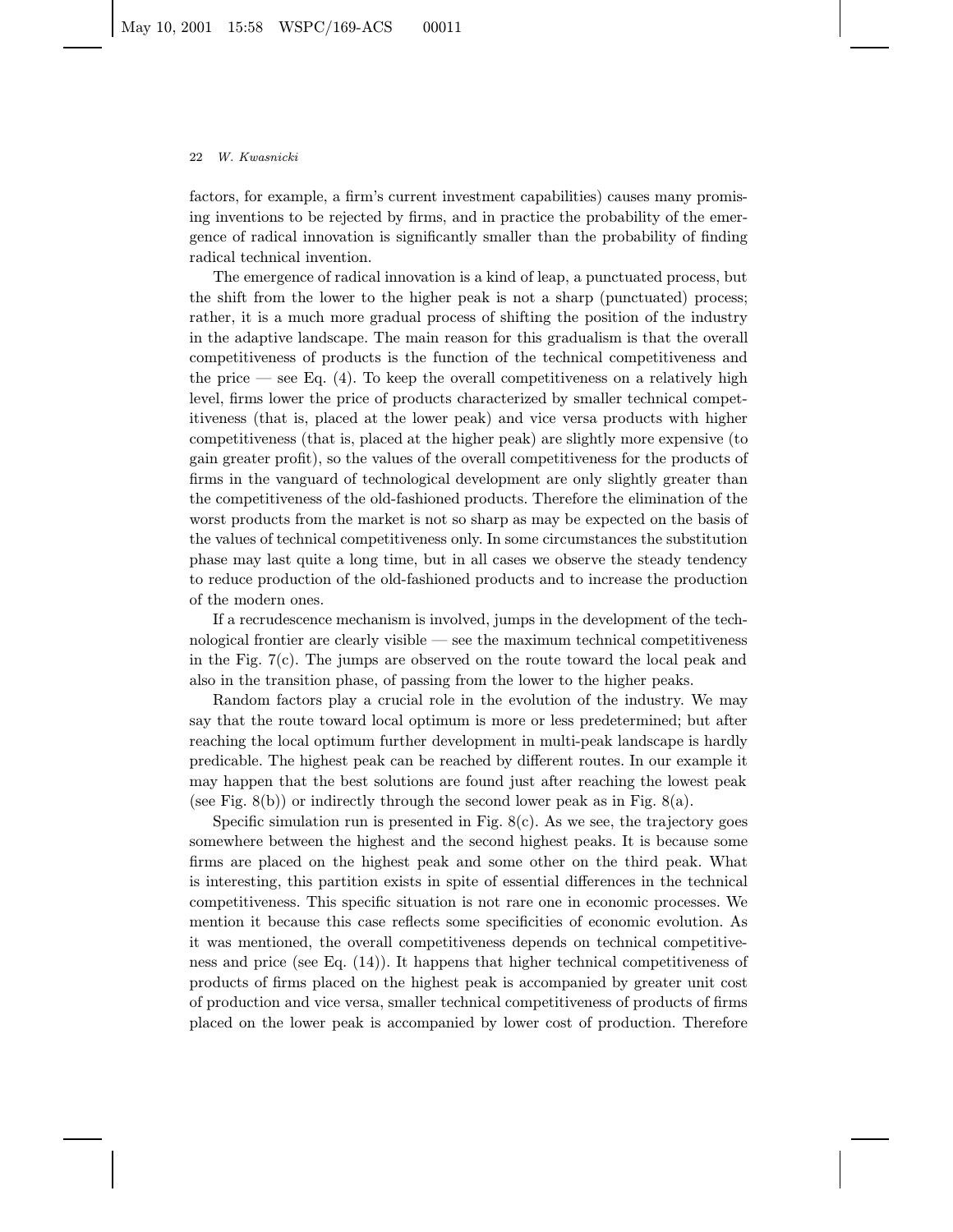factors, for example, a firm's current investment capabilities) causes many promising inventions to be rejected by firms, and in practice the probability of the emergence of radical innovation is significantly smaller than the probability of finding radical technical invention.

The emergence of radical innovation is a kind of leap, a punctuated process, but the shift from the lower to the higher peak is not a sharp (punctuated) process; rather, it is a much more gradual process of shifting the position of the industry in the adaptive landscape. The main reason for this gradualism is that the overall competitiveness of products is the function of the technical competitiveness and the price — see Eq.  $(4)$ . To keep the overall competitiveness on a relatively high level, firms lower the price of products characterized by smaller technical competitiveness (that is, placed at the lower peak) and vice versa products with higher competitiveness (that is, placed at the higher peak) are slightly more expensive (to gain greater profit), so the values of the overall competitiveness for the products of firms in the vanguard of technological development are only slightly greater than the competitiveness of the old-fashioned products. Therefore the elimination of the worst products from the market is not so sharp as may be expected on the basis of the values of technical competitiveness only. In some circumstances the substitution phase may last quite a long time, but in all cases we observe the steady tendency to reduce production of the old-fashioned products and to increase the production of the modern ones.

If a recrudescence mechanism is involved, jumps in the development of the technological frontier are clearly visible — see the maximum technical competitiveness in the Fig. 7(c). The jumps are observed on the route toward the local peak and also in the transition phase, of passing from the lower to the higher peaks.

Random factors play a crucial role in the evolution of the industry. We may say that the route toward local optimum is more or less predetermined; but after reaching the local optimum further development in multi-peak landscape is hardly predicable. The highest peak can be reached by different routes. In our example it may happen that the best solutions are found just after reaching the lowest peak (see Fig.  $8(b)$ ) or indirectly through the second lower peak as in Fig.  $8(a)$ .

Specific simulation run is presented in Fig.  $8(c)$ . As we see, the trajectory goes somewhere between the highest and the second highest peaks. It is because some firms are placed on the highest peak and some other on the third peak. What is interesting, this partition exists in spite of essential differences in the technical competitiveness. This specific situation is not rare one in economic processes. We mention it because this case reflects some specificities of economic evolution. As it was mentioned, the overall competitiveness depends on technical competitiveness and price (see Eq. (14)). It happens that higher technical competitiveness of products of firms placed on the highest peak is accompanied by greater unit cost of production and vice versa, smaller technical competitiveness of products of firms placed on the lower peak is accompanied by lower cost of production. Therefore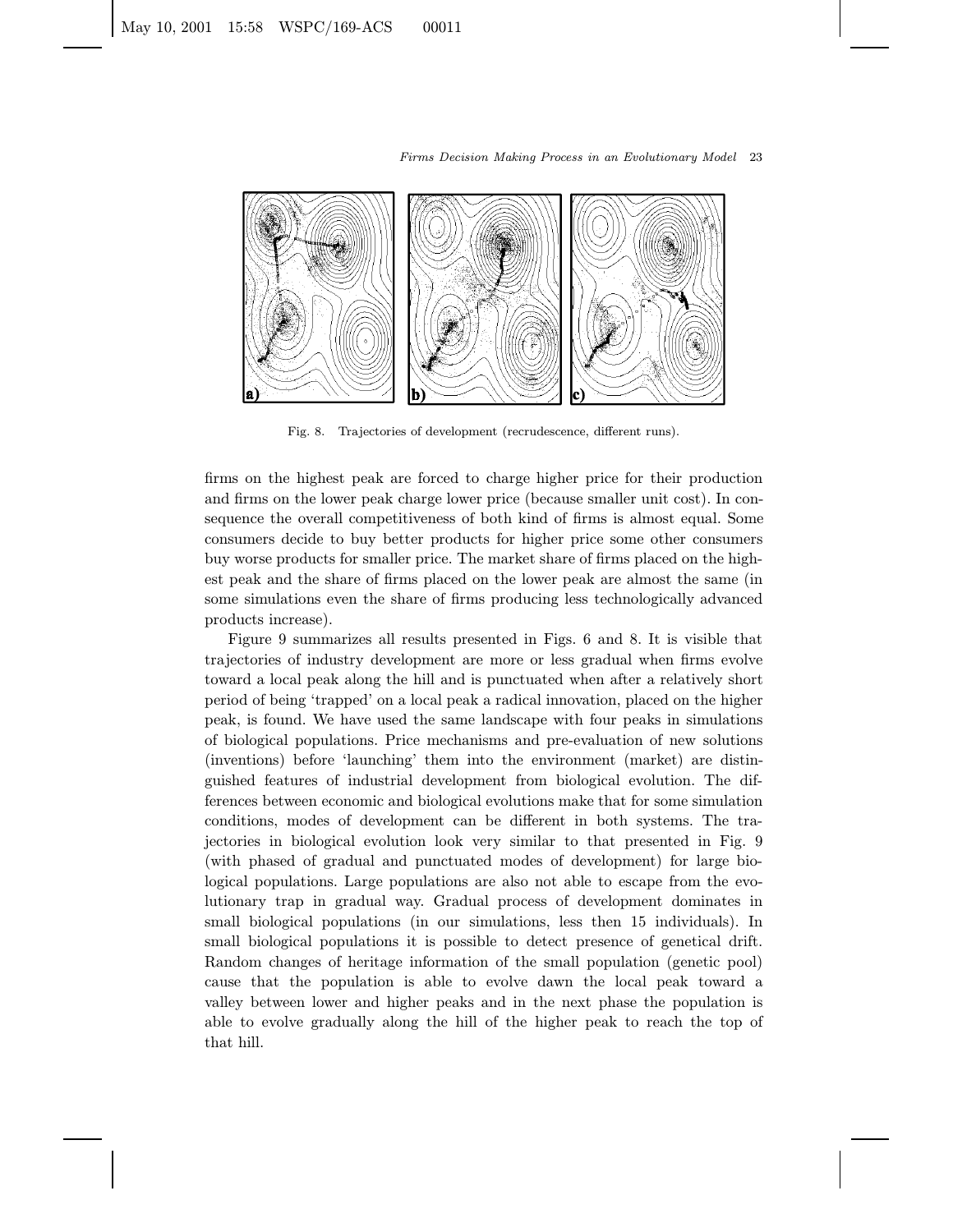

Firms Decision Making Process in an Evolutionary Model 23

Fig. 8. Trajectories of development (recrudescence, different runs).

firms on the highest peak are forced to charge higher price for their production and firms on the lower peak charge lower price (because smaller unit cost). In consequence the overall competitiveness of both kind of firms is almost equal. Some consumers decide to buy better products for higher price some other consumers buy worse products for smaller price. The market share of firms placed on the highest peak and the share of firms placed on the lower peak are almost the same (in some simulations even the share of firms producing less technologically advanced products increase).

Figure 9 summarizes all results presented in Figs. 6 and 8. It is visible that trajectories of industry development are more or less gradual when firms evolve toward a local peak along the hill and is punctuated when after a relatively short period of being 'trapped' on a local peak a radical innovation, placed on the higher peak, is found. We have used the same landscape with four peaks in simulations of biological populations. Price mechanisms and pre-evaluation of new solutions (inventions) before 'launching' them into the environment (market) are distinguished features of industrial development from biological evolution. The differences between economic and biological evolutions make that for some simulation conditions, modes of development can be different in both systems. The trajectories in biological evolution look very similar to that presented in Fig. 9 (with phased of gradual and punctuated modes of development) for large biological populations. Large populations are also not able to escape from the evolutionary trap in gradual way. Gradual process of development dominates in small biological populations (in our simulations, less then 15 individuals). In small biological populations it is possible to detect presence of genetical drift. Random changes of heritage information of the small population (genetic pool) cause that the population is able to evolve dawn the local peak toward a valley between lower and higher peaks and in the next phase the population is able to evolve gradually along the hill of the higher peak to reach the top of that hill.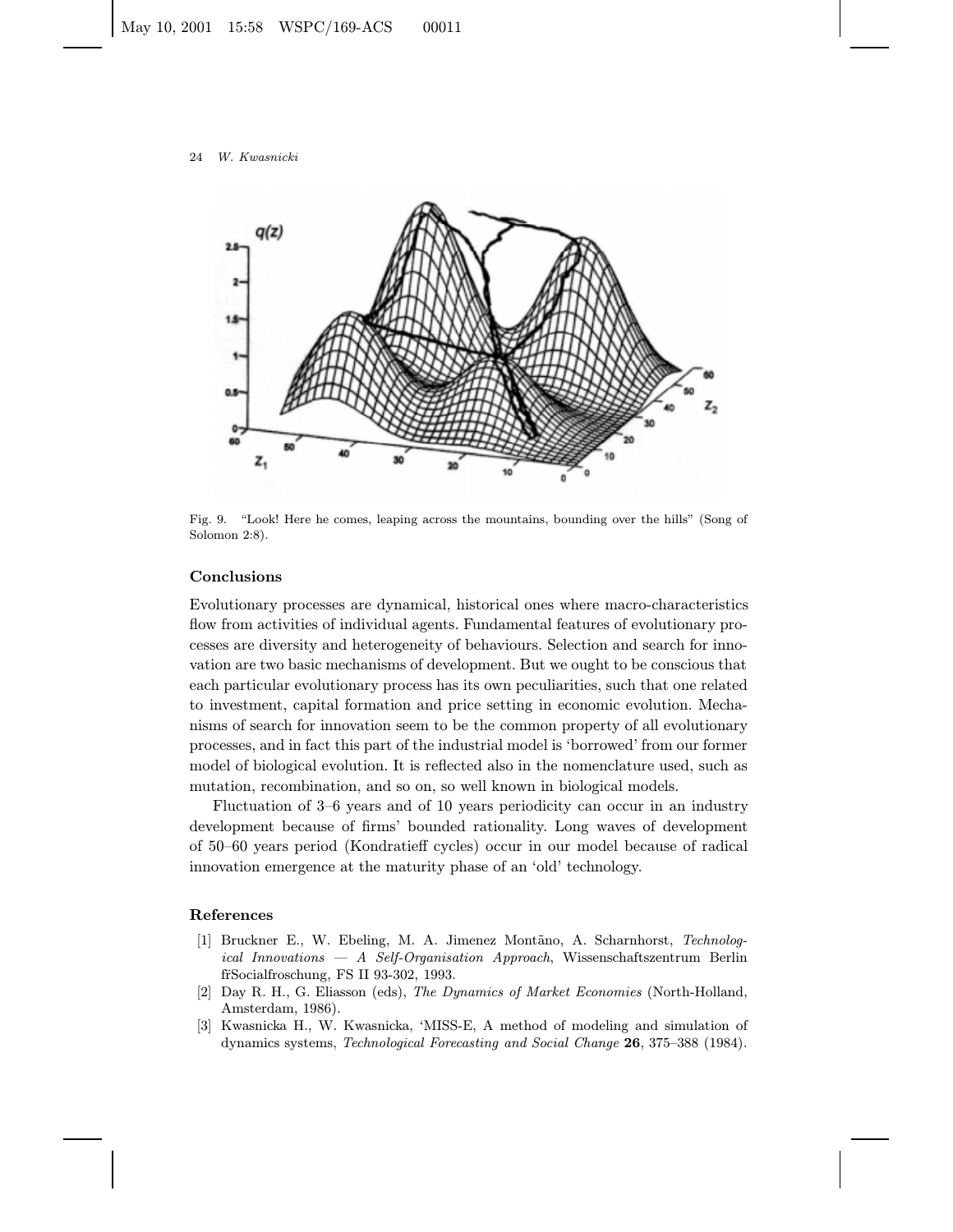

Fig. 9. "Look! Here he comes, leaping across the mountains, bounding over the hills" (Song of Solomon 2:8).

## Conclusions

Evolutionary processes are dynamical, historical ones where macro-characteristics flow from activities of individual agents. Fundamental features of evolutionary processes are diversity and heterogeneity of behaviours. Selection and search for innovation are two basic mechanisms of development. But we ought to be conscious that each particular evolutionary process has its own peculiarities, such that one related to investment, capital formation and price setting in economic evolution. Mechanisms of search for innovation seem to be the common property of all evolutionary processes, and in fact this part of the industrial model is 'borrowed' from our former model of biological evolution. It is reflected also in the nomenclature used, such as mutation, recombination, and so on, so well known in biological models.

Fluctuation of 3–6 years and of 10 years periodicity can occur in an industry development because of firms' bounded rationality. Long waves of development of 50–60 years period (Kondratieff cycles) occur in our model because of radical innovation emergence at the maturity phase of an 'old' technology.

## References

- [1] Bruckner E., W. Ebeling, M. A. Jimenez Montãno, A. Scharnhorst, Technological Innovations  $- A$  Self-Organisation Approach, Wissenschaftszentrum Berlin frSocialfroschung, FS II 93-302, 1993.
- [2] Day R. H., G. Eliasson (eds), The Dynamics of Market Economies (North-Holland, Amsterdam, 1986).
- [3] Kwasnicka H., W. Kwasnicka, 'MISS-E, A method of modeling and simulation of dynamics systems, Technological Forecasting and Social Change 26, 375–388 (1984).